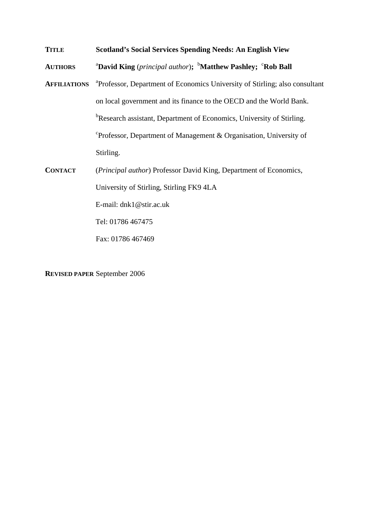**TITLE Scotland's Social Services Spending Needs: An English View** 

**AUTHORS David King** (*principal author*); <sup>b</sup>Matthew Pashley; <sup>c</sup>Rob Ball

- **AFFILIATIONS** Professor, Department of Economics University of Stirling; also consultant on local government and its finance to the OECD and the World Bank. <sup>b</sup>Research assistant, Department of Economics, University of Stirling. c Professor, Department of Management & Organisation, University of Stirling.
- **CONTACT** (*Principal author*) Professor David King, Department of Economics, University of Stirling, Stirling FK9 4LA E-mail: dnk1@stir.ac.uk Tel: 01786 467475 Fax: 01786 467469

**REVISED PAPER** September 2006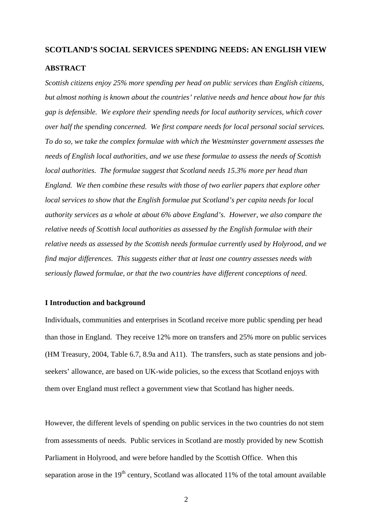## **SCOTLAND'S SOCIAL SERVICES SPENDING NEEDS: AN ENGLISH VIEW**

## **ABSTRACT**

*Scottish citizens enjoy 25% more spending per head on public services than English citizens, but almost nothing is known about the countries' relative needs and hence about how far this gap is defensible. We explore their spending needs for local authority services, which cover over half the spending concerned. We first compare needs for local personal social services. To do so, we take the complex formulae with which the Westminster government assesses the needs of English local authorities, and we use these formulae to assess the needs of Scottish local authorities. The formulae suggest that Scotland needs 15.3% more per head than England. We then combine these results with those of two earlier papers that explore other local services to show that the English formulae put Scotland's per capita needs for local authority services as a whole at about 6% above England's. However, we also compare the relative needs of Scottish local authorities as assessed by the English formulae with their relative needs as assessed by the Scottish needs formulae currently used by Holyrood, and we find major differences. This suggests either that at least one country assesses needs with seriously flawed formulae, or that the two countries have different conceptions of need.* 

## **I Introduction and background**

Individuals, communities and enterprises in Scotland receive more public spending per head than those in England. They receive 12% more on transfers and 25% more on public services (HM Treasury, 2004, Table 6.7, 8.9a and A11). The transfers, such as state pensions and jobseekers' allowance, are based on UK-wide policies, so the excess that Scotland enjoys with them over England must reflect a government view that Scotland has higher needs.

However, the different levels of spending on public services in the two countries do not stem from assessments of needs. Public services in Scotland are mostly provided by new Scottish Parliament in Holyrood, and were before handled by the Scottish Office. When this separation arose in the  $19<sup>th</sup>$  century, Scotland was allocated 11% of the total amount available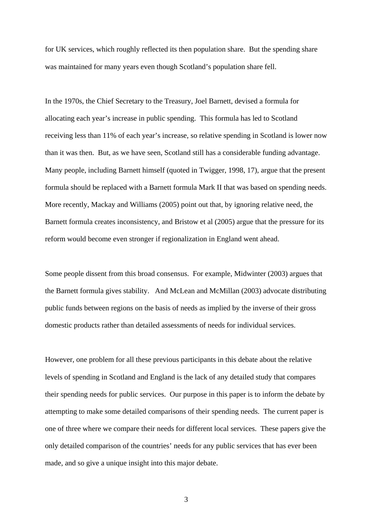for UK services, which roughly reflected its then population share. But the spending share was maintained for many years even though Scotland's population share fell.

In the 1970s, the Chief Secretary to the Treasury, Joel Barnett, devised a formula for allocating each year's increase in public spending. This formula has led to Scotland receiving less than 11% of each year's increase, so relative spending in Scotland is lower now than it was then. But, as we have seen, Scotland still has a considerable funding advantage. Many people, including Barnett himself (quoted in Twigger, 1998, 17), argue that the present formula should be replaced with a Barnett formula Mark II that was based on spending needs. More recently, Mackay and Williams (2005) point out that, by ignoring relative need, the Barnett formula creates inconsistency, and Bristow et al (2005) argue that the pressure for its reform would become even stronger if regionalization in England went ahead.

Some people dissent from this broad consensus. For example, Midwinter (2003) argues that the Barnett formula gives stability. And McLean and McMillan (2003) advocate distributing public funds between regions on the basis of needs as implied by the inverse of their gross domestic products rather than detailed assessments of needs for individual services.

However, one problem for all these previous participants in this debate about the relative levels of spending in Scotland and England is the lack of any detailed study that compares their spending needs for public services. Our purpose in this paper is to inform the debate by attempting to make some detailed comparisons of their spending needs. The current paper is one of three where we compare their needs for different local services. These papers give the only detailed comparison of the countries' needs for any public services that has ever been made, and so give a unique insight into this major debate.

3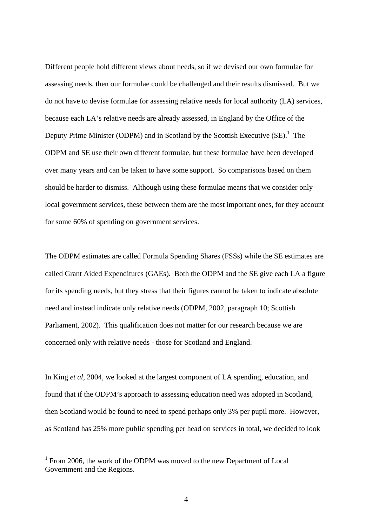Different people hold different views about needs, so if we devised our own formulae for assessing needs, then our formulae could be challenged and their results dismissed. But we do not have to devise formulae for assessing relative needs for local authority (LA) services, because each LA's relative needs are already assessed, in England by the Office of the Deputy Prime Minister (ODPM) and in Scotland by the Scottish Executive  $(SE)$ .<sup>[1](#page-3-0)</sup> The ODPM and SE use their own different formulae, but these formulae have been developed over many years and can be taken to have some support. So comparisons based on them should be harder to dismiss. Although using these formulae means that we consider only local government services, these between them are the most important ones, for they account for some 60% of spending on government services.

The ODPM estimates are called Formula Spending Shares (FSSs) while the SE estimates are called Grant Aided Expenditures (GAEs). Both the ODPM and the SE give each LA a figure for its spending needs, but they stress that their figures cannot be taken to indicate absolute need and instead indicate only relative needs (ODPM, 2002, paragraph 10; Scottish Parliament, 2002). This qualification does not matter for our research because we are concerned only with relative needs - those for Scotland and England.

In King *et al*, 2004, we looked at the largest component of LA spending, education, and found that if the ODPM's approach to assessing education need was adopted in Scotland, then Scotland would be found to need to spend perhaps only 3% per pupil more. However, as Scotland has 25% more public spending per head on services in total, we decided to look

 $\overline{a}$ 

<span id="page-3-0"></span><sup>&</sup>lt;sup>1</sup> From 2006, the work of the ODPM was moved to the new Department of Local Government and the Regions.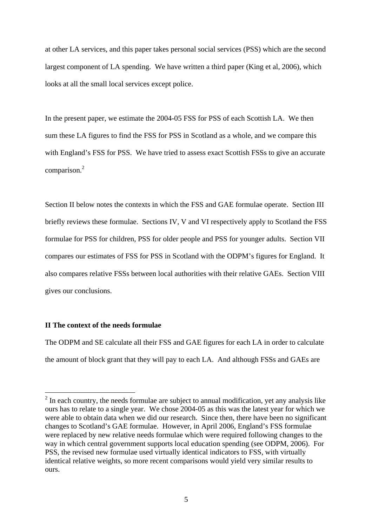at other LA services, and this paper takes personal social services (PSS) which are the second largest component of LA spending. We have written a third paper (King et al, 2006), which looks at all the small local services except police.

In the present paper, we estimate the 2004-05 FSS for PSS of each Scottish LA. We then sum these LA figures to find the FSS for PSS in Scotland as a whole, and we compare this with England's FSS for PSS. We have tried to assess exact Scottish FSSs to give an accurate comparison.<sup>[2](#page-4-0)</sup>

Section II below notes the contexts in which the FSS and GAE formulae operate. Section III briefly reviews these formulae. Sections IV, V and VI respectively apply to Scotland the FSS formulae for PSS for children, PSS for older people and PSS for younger adults. Section VII compares our estimates of FSS for PSS in Scotland with the ODPM's figures for England. It also compares relative FSSs between local authorities with their relative GAEs. Section VIII gives our conclusions.

## **II The context of the needs formulae**

 $\overline{a}$ 

The ODPM and SE calculate all their FSS and GAE figures for each LA in order to calculate the amount of block grant that they will pay to each LA. And although FSSs and GAEs are

<span id="page-4-0"></span> $2^{2}$  In each country, the needs formulae are subject to annual modification, yet any analysis like ours has to relate to a single year. We chose 2004-05 as this was the latest year for which we were able to obtain data when we did our research. Since then, there have been no significant changes to Scotland's GAE formulae. However, in April 2006, England's FSS formulae were replaced by new relative needs formulae which were required following changes to the way in which central government supports local education spending (see ODPM, 2006). For PSS, the revised new formulae used virtually identical indicators to FSS, with virtually identical relative weights, so more recent comparisons would yield very similar results to ours.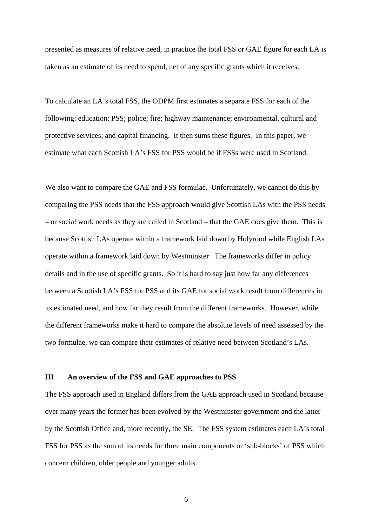presented as measures of relative need, in practice the total FSS or GAE figure for each LA is taken as an estimate of its need to spend, net of any specific grants which it receives.

To calculate an LA's total FSS, the ODPM first estimates a separate FSS for each of the following: education; PSS; police; fire; highway maintenance; environmental, cultural and protective services; and capital financing. It then sums these figures. In this paper, we estimate what each Scottish LA's FSS for PSS would be if FSSs were used in Scotland.

We also want to compare the GAE and FSS formulae. Unfortunately, we cannot do this by comparing the PSS needs that the FSS approach would give Scottish LAs with the PSS needs – or social work needs as they are called in Scotland – that the GAE does give them. This is because Scottish LAs operate within a framework laid down by Holyrood while English LAs operate within a framework laid down by Westminster. The frameworks differ in policy details and in the use of specific grants. So it is hard to say just how far any differences between a Scottish LA's FSS for PSS and its GAE for social work result from differences in its estimated need, and how far they result from the different frameworks. However, while the different frameworks make it hard to compare the absolute levels of need assessed by the two formulae, we can compare their estimates of relative need between Scotland's LAs.

## **III An overview of the FSS and GAE approaches to PSS**

The FSS approach used in England differs from the GAE approach used in Scotland because over many years the former has been evolved by the Westminster government and the latter by the Scottish Office and, more recently, the SE. The FSS system estimates each LA's total FSS for PSS as the sum of its needs for three main components or 'sub-blocks' of PSS which concern children, older people and younger adults.

6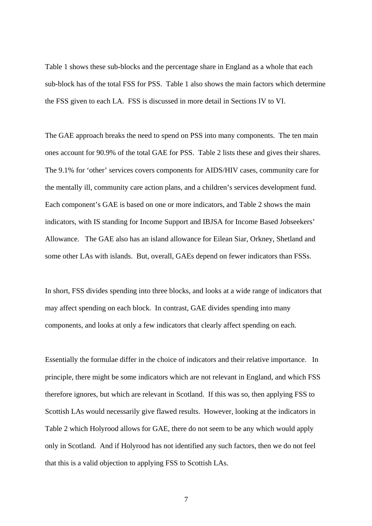Table 1 shows these sub-blocks and the percentage share in England as a whole that each sub-block has of the total FSS for PSS. Table 1 also shows the main factors which determine the FSS given to each LA. FSS is discussed in more detail in Sections IV to VI.

The GAE approach breaks the need to spend on PSS into many components. The ten main ones account for 90.9% of the total GAE for PSS. Table 2 lists these and gives their shares. The 9.1% for 'other' services covers components for AIDS/HIV cases, community care for the mentally ill, community care action plans, and a children's services development fund. Each component's GAE is based on one or more indicators, and Table 2 shows the main indicators, with IS standing for Income Support and IBJSA for Income Based Jobseekers' Allowance. The GAE also has an island allowance for Eilean Siar, Orkney, Shetland and some other LAs with islands. But, overall, GAEs depend on fewer indicators than FSSs.

In short, FSS divides spending into three blocks, and looks at a wide range of indicators that may affect spending on each block. In contrast, GAE divides spending into many components, and looks at only a few indicators that clearly affect spending on each.

Essentially the formulae differ in the choice of indicators and their relative importance. In principle, there might be some indicators which are not relevant in England, and which FSS therefore ignores, but which are relevant in Scotland. If this was so, then applying FSS to Scottish LAs would necessarily give flawed results. However, looking at the indicators in Table 2 which Holyrood allows for GAE, there do not seem to be any which would apply only in Scotland. And if Holyrood has not identified any such factors, then we do not feel that this is a valid objection to applying FSS to Scottish LAs.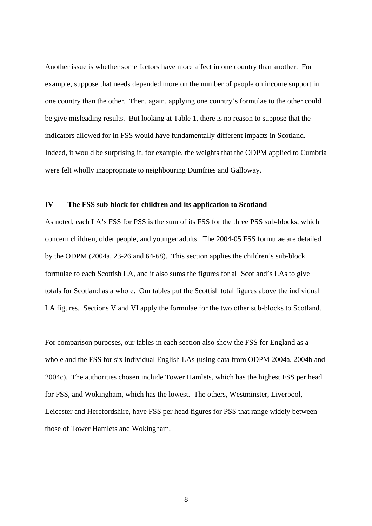Another issue is whether some factors have more affect in one country than another. For example, suppose that needs depended more on the number of people on income support in one country than the other. Then, again, applying one country's formulae to the other could be give misleading results. But looking at Table 1, there is no reason to suppose that the indicators allowed for in FSS would have fundamentally different impacts in Scotland. Indeed, it would be surprising if, for example, the weights that the ODPM applied to Cumbria were felt wholly inappropriate to neighbouring Dumfries and Galloway.

## **IV The FSS sub-block for children and its application to Scotland**

As noted, each LA's FSS for PSS is the sum of its FSS for the three PSS sub-blocks, which concern children, older people, and younger adults. The 2004-05 FSS formulae are detailed by the ODPM (2004a, 23-26 and 64-68). This section applies the children's sub-block formulae to each Scottish LA, and it also sums the figures for all Scotland's LAs to give totals for Scotland as a whole. Our tables put the Scottish total figures above the individual LA figures. Sections V and VI apply the formulae for the two other sub-blocks to Scotland.

For comparison purposes, our tables in each section also show the FSS for England as a whole and the FSS for six individual English LAs (using data from ODPM 2004a, 2004b and 2004c). The authorities chosen include Tower Hamlets, which has the highest FSS per head for PSS, and Wokingham, which has the lowest. The others, Westminster, Liverpool, Leicester and Herefordshire, have FSS per head figures for PSS that range widely between those of Tower Hamlets and Wokingham.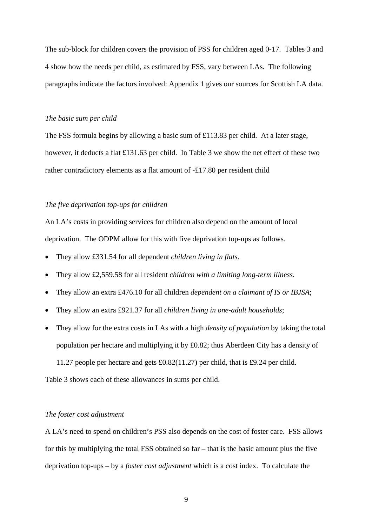The sub-block for children covers the provision of PSS for children aged 0-17. Tables 3 and 4 show how the needs per child, as estimated by FSS, vary between LAs. The following paragraphs indicate the factors involved: Appendix 1 gives our sources for Scottish LA data.

#### *The basic sum per child*

The FSS formula begins by allowing a basic sum of £113.83 per child. At a later stage, however, it deducts a flat £131.63 per child. In Table 3 we show the net effect of these two rather contradictory elements as a flat amount of -£17.80 per resident child

## *The five deprivation top-ups for children*

An LA's costs in providing services for children also depend on the amount of local deprivation. The ODPM allow for this with five deprivation top-ups as follows.

- They allow £331.54 for all dependent *children living in flats*.
- They allow £2,559.58 for all resident *children with a limiting long-term illness*.
- They allow an extra £476.10 for all children *dependent on a claimant of IS or IBJSA*;
- They allow an extra £921.37 for all *children living in one-adult households*;
- They allow for the extra costs in LAs with a high *density of population* by taking the total population per hectare and multiplying it by £0.82; thus Aberdeen City has a density of 11.27 people per hectare and gets £0.82(11.27) per child, that is £9.24 per child.

Table 3 shows each of these allowances in sums per child.

## *The foster cost adjustment*

A LA's need to spend on children's PSS also depends on the cost of foster care. FSS allows for this by multiplying the total FSS obtained so far – that is the basic amount plus the five deprivation top-ups – by a *foster cost adjustment* which is a cost index. To calculate the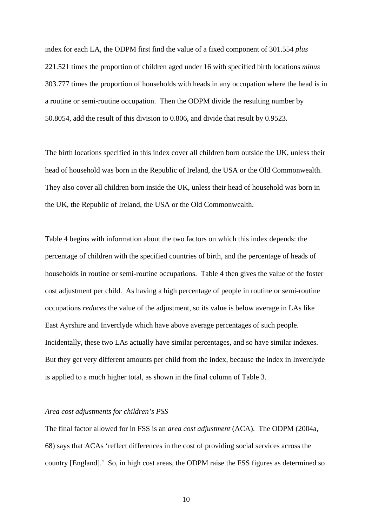index for each LA, the ODPM first find the value of a fixed component of 301.554 *plus* 221.521 times the proportion of children aged under 16 with specified birth locations *minus* 303.777 times the proportion of households with heads in any occupation where the head is in a routine or semi-routine occupation. Then the ODPM divide the resulting number by 50.8054, add the result of this division to 0.806, and divide that result by 0.9523.

The birth locations specified in this index cover all children born outside the UK, unless their head of household was born in the Republic of Ireland, the USA or the Old Commonwealth. They also cover all children born inside the UK, unless their head of household was born in the UK, the Republic of Ireland, the USA or the Old Commonwealth.

Table 4 begins with information about the two factors on which this index depends: the percentage of children with the specified countries of birth, and the percentage of heads of households in routine or semi-routine occupations. Table 4 then gives the value of the foster cost adjustment per child. As having a high percentage of people in routine or semi-routine occupations *reduces* the value of the adjustment, so its value is below average in LAs like East Ayrshire and Inverclyde which have above average percentages of such people. Incidentally, these two LAs actually have similar percentages, and so have similar indexes. But they get very different amounts per child from the index, because the index in Inverclyde is applied to a much higher total, as shown in the final column of Table 3.

## *Area cost adjustments for children's PSS*

The final factor allowed for in FSS is an *area cost adjustment* (ACA). The ODPM (2004a, 68) says that ACAs 'reflect differences in the cost of providing social services across the country [England].' So, in high cost areas, the ODPM raise the FSS figures as determined so

10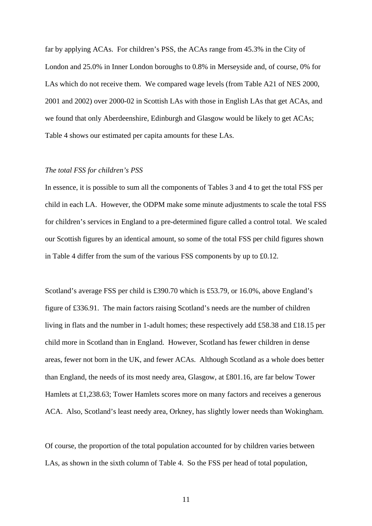far by applying ACAs. For children's PSS, the ACAs range from 45.3% in the City of London and 25.0% in Inner London boroughs to 0.8% in Merseyside and, of course, 0% for LAs which do not receive them. We compared wage levels (from Table A21 of NES 2000, 2001 and 2002) over 2000-02 in Scottish LAs with those in English LAs that get ACAs, and we found that only Aberdeenshire, Edinburgh and Glasgow would be likely to get ACAs; Table 4 shows our estimated per capita amounts for these LAs.

#### *The total FSS for children's PSS*

In essence, it is possible to sum all the components of Tables 3 and 4 to get the total FSS per child in each LA. However, the ODPM make some minute adjustments to scale the total FSS for children's services in England to a pre-determined figure called a control total. We scaled our Scottish figures by an identical amount, so some of the total FSS per child figures shown in Table 4 differ from the sum of the various FSS components by up to £0.12.

Scotland's average FSS per child is £390.70 which is £53.79, or 16.0%, above England's figure of £336.91. The main factors raising Scotland's needs are the number of children living in flats and the number in 1-adult homes; these respectively add £58.38 and £18.15 per child more in Scotland than in England. However, Scotland has fewer children in dense areas, fewer not born in the UK, and fewer ACAs. Although Scotland as a whole does better than England, the needs of its most needy area, Glasgow, at £801.16, are far below Tower Hamlets at £1,238.63; Tower Hamlets scores more on many factors and receives a generous ACA. Also, Scotland's least needy area, Orkney, has slightly lower needs than Wokingham.

Of course, the proportion of the total population accounted for by children varies between LAs, as shown in the sixth column of Table 4. So the FSS per head of total population,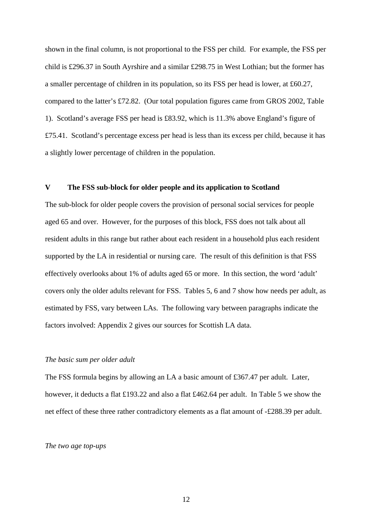shown in the final column, is not proportional to the FSS per child. For example, the FSS per child is £296.37 in South Ayrshire and a similar £298.75 in West Lothian; but the former has a smaller percentage of children in its population, so its FSS per head is lower, at £60.27, compared to the latter's £72.82. (Our total population figures came from GROS 2002, Table 1). Scotland's average FSS per head is £83.92, which is 11.3% above England's figure of £75.41. Scotland's percentage excess per head is less than its excess per child, because it has a slightly lower percentage of children in the population.

## **V The FSS sub-block for older people and its application to Scotland**

The sub-block for older people covers the provision of personal social services for people aged 65 and over. However, for the purposes of this block, FSS does not talk about all resident adults in this range but rather about each resident in a household plus each resident supported by the LA in residential or nursing care. The result of this definition is that FSS effectively overlooks about 1% of adults aged 65 or more. In this section, the word 'adult' covers only the older adults relevant for FSS. Tables 5, 6 and 7 show how needs per adult, as estimated by FSS, vary between LAs. The following vary between paragraphs indicate the factors involved: Appendix 2 gives our sources for Scottish LA data.

## *The basic sum per older adult*

The FSS formula begins by allowing an LA a basic amount of £367.47 per adult. Later, however, it deducts a flat £193.22 and also a flat £462.64 per adult. In Table 5 we show the net effect of these three rather contradictory elements as a flat amount of -£288.39 per adult.

#### *The two age top-ups*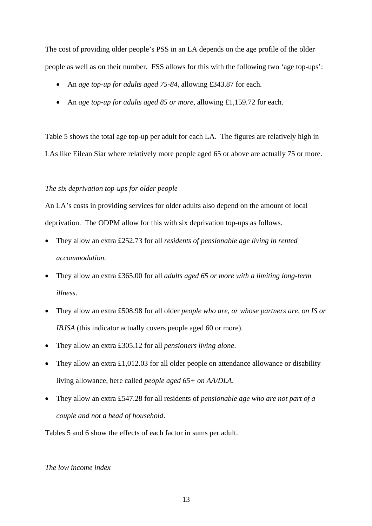The cost of providing older people's PSS in an LA depends on the age profile of the older people as well as on their number. FSS allows for this with the following two 'age top-ups':

- An *age top-up for adults aged 75-84*, allowing £343.87 for each.
- An *age top-up for adults aged 85 or more*, allowing £1,159.72 for each.

Table 5 shows the total age top-up per adult for each LA. The figures are relatively high in LAs like Eilean Siar where relatively more people aged 65 or above are actually 75 or more.

## *The six deprivation top-ups for older people*

An LA's costs in providing services for older adults also depend on the amount of local deprivation. The ODPM allow for this with six deprivation top-ups as follows.

- They allow an extra £252.73 for all *residents of pensionable age living in rented accommodation*.
- They allow an extra £365.00 for all *adults aged 65 or more with a limiting long-term illness*.
- They allow an extra £508.98 for all older *people who are, or whose partners are, on IS or IBJSA* (this indicator actually covers people aged 60 or more).
- They allow an extra £305.12 for all *pensioners living alone*.
- They allow an extra £1,012.03 for all older people on attendance allowance or disability living allowance, here called *people aged 65+ on AA/DLA*.
- They allow an extra £547.28 for all residents of *pensionable age who are not part of a couple and not a head of household*.

Tables 5 and 6 show the effects of each factor in sums per adult.

## *The low income index*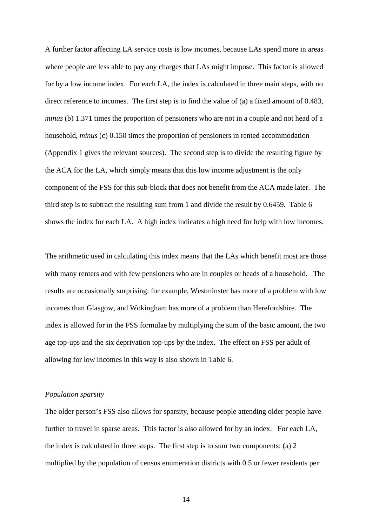A further factor affecting LA service costs is low incomes, because LAs spend more in areas where people are less able to pay any charges that LAs might impose. This factor is allowed for by a low income index. For each LA, the index is calculated in three main steps, with no direct reference to incomes. The first step is to find the value of (a) a fixed amount of 0.483, *minus* (b) 1.371 times the proportion of pensioners who are not in a couple and not head of a household, *minus* (c) 0.150 times the proportion of pensioners in rented accommodation (Appendix 1 gives the relevant sources). The second step is to divide the resulting figure by the ACA for the LA, which simply means that this low income adjustment is the only component of the FSS for this sub-block that does not benefit from the ACA made later. The third step is to subtract the resulting sum from 1 and divide the result by 0.6459. Table 6 shows the index for each LA. A high index indicates a high need for help with low incomes.

The arithmetic used in calculating this index means that the LAs which benefit most are those with many renters and with few pensioners who are in couples or heads of a household. The results are occasionally surprising: for example, Westminster has more of a problem with low incomes than Glasgow, and Wokingham has more of a problem than Herefordshire. The index is allowed for in the FSS formulae by multiplying the sum of the basic amount, the two age top-ups and the six deprivation top-ups by the index. The effect on FSS per adult of allowing for low incomes in this way is also shown in Table 6.

## *Population sparsity*

The older person's FSS also allows for sparsity, because people attending older people have further to travel in sparse areas. This factor is also allowed for by an index. For each LA, the index is calculated in three steps. The first step is to sum two components: (a) 2 multiplied by the population of census enumeration districts with 0.5 or fewer residents per

14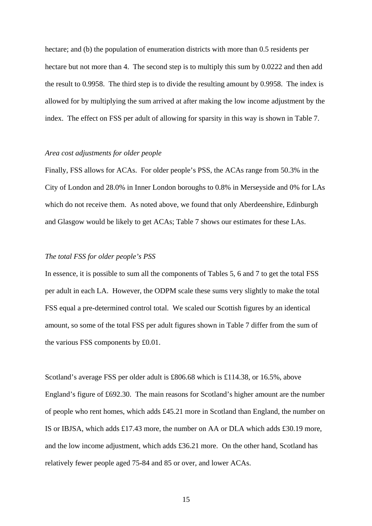hectare; and (b) the population of enumeration districts with more than 0.5 residents per hectare but not more than 4. The second step is to multiply this sum by 0.0222 and then add the result to 0.9958. The third step is to divide the resulting amount by 0.9958. The index is allowed for by multiplying the sum arrived at after making the low income adjustment by the index. The effect on FSS per adult of allowing for sparsity in this way is shown in Table 7.

#### *Area cost adjustments for older people*

Finally, FSS allows for ACAs. For older people's PSS, the ACAs range from 50.3% in the City of London and 28.0% in Inner London boroughs to 0.8% in Merseyside and 0% for LAs which do not receive them. As noted above, we found that only Aberdeenshire, Edinburgh and Glasgow would be likely to get ACAs; Table 7 shows our estimates for these LAs.

## *The total FSS for older people's PSS*

In essence, it is possible to sum all the components of Tables 5, 6 and 7 to get the total FSS per adult in each LA. However, the ODPM scale these sums very slightly to make the total FSS equal a pre-determined control total. We scaled our Scottish figures by an identical amount, so some of the total FSS per adult figures shown in Table 7 differ from the sum of the various FSS components by £0.01.

Scotland's average FSS per older adult is £806.68 which is £114.38, or 16.5%, above England's figure of £692.30. The main reasons for Scotland's higher amount are the number of people who rent homes, which adds £45.21 more in Scotland than England, the number on IS or IBJSA, which adds £17.43 more, the number on AA or DLA which adds £30.19 more, and the low income adjustment, which adds £36.21 more. On the other hand, Scotland has relatively fewer people aged 75-84 and 85 or over, and lower ACAs.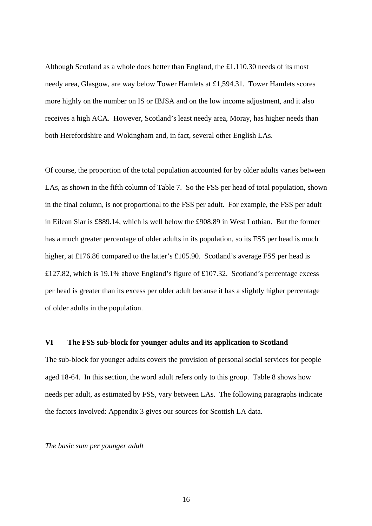Although Scotland as a whole does better than England, the £1.110.30 needs of its most needy area, Glasgow, are way below Tower Hamlets at £1,594.31. Tower Hamlets scores more highly on the number on IS or IBJSA and on the low income adjustment, and it also receives a high ACA. However, Scotland's least needy area, Moray, has higher needs than both Herefordshire and Wokingham and, in fact, several other English LAs.

Of course, the proportion of the total population accounted for by older adults varies between LAs, as shown in the fifth column of Table 7. So the FSS per head of total population, shown in the final column, is not proportional to the FSS per adult. For example, the FSS per adult in Eilean Siar is £889.14, which is well below the £908.89 in West Lothian. But the former has a much greater percentage of older adults in its population, so its FSS per head is much higher, at £176.86 compared to the latter's £105.90. Scotland's average FSS per head is £127.82, which is 19.1% above England's figure of £107.32. Scotland's percentage excess per head is greater than its excess per older adult because it has a slightly higher percentage of older adults in the population.

## **VI The FSS sub-block for younger adults and its application to Scotland**

The sub-block for younger adults covers the provision of personal social services for people aged 18-64. In this section, the word adult refers only to this group. Table 8 shows how needs per adult, as estimated by FSS, vary between LAs. The following paragraphs indicate the factors involved: Appendix 3 gives our sources for Scottish LA data.

## *The basic sum per younger adult*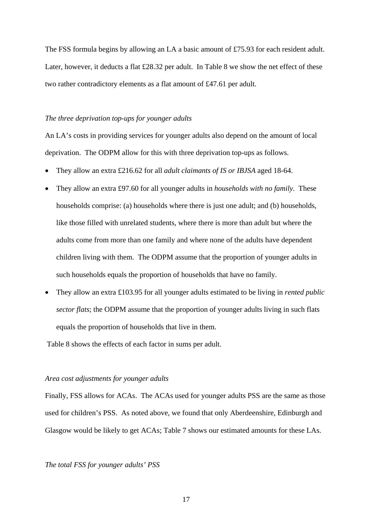The FSS formula begins by allowing an LA a basic amount of £75.93 for each resident adult. Later, however, it deducts a flat £28.32 per adult. In Table 8 we show the net effect of these two rather contradictory elements as a flat amount of £47.61 per adult.

## *The three deprivation top-ups for younger adults*

An LA's costs in providing services for younger adults also depend on the amount of local deprivation. The ODPM allow for this with three deprivation top-ups as follows.

- They allow an extra £216.62 for all *adult claimants of IS or IBJSA* aged 18-64.
- They allow an extra £97.60 for all younger adults in *households with no family*. These households comprise: (a) households where there is just one adult; and (b) households, like those filled with unrelated students, where there is more than adult but where the adults come from more than one family and where none of the adults have dependent children living with them. The ODPM assume that the proportion of younger adults in such households equals the proportion of households that have no family.
- They allow an extra £103.95 for all younger adults estimated to be living in *rented public sector flats*; the ODPM assume that the proportion of younger adults living in such flats equals the proportion of households that live in them.

Table 8 shows the effects of each factor in sums per adult.

## *Area cost adjustments for younger adults*

Finally, FSS allows for ACAs. The ACAs used for younger adults PSS are the same as those used for children's PSS. As noted above, we found that only Aberdeenshire, Edinburgh and Glasgow would be likely to get ACAs; Table 7 shows our estimated amounts for these LAs.

## *The total FSS for younger adults' PSS*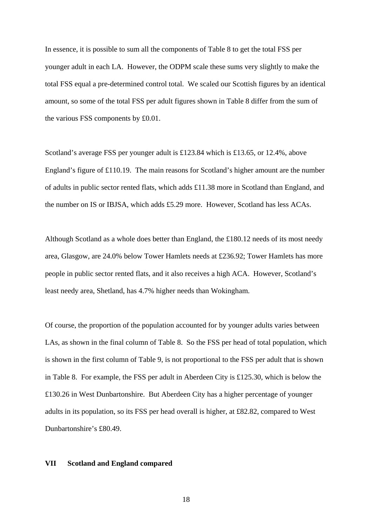In essence, it is possible to sum all the components of Table 8 to get the total FSS per younger adult in each LA. However, the ODPM scale these sums very slightly to make the total FSS equal a pre-determined control total. We scaled our Scottish figures by an identical amount, so some of the total FSS per adult figures shown in Table 8 differ from the sum of the various FSS components by £0.01.

Scotland's average FSS per younger adult is £123.84 which is £13.65, or 12.4%, above England's figure of £110.19. The main reasons for Scotland's higher amount are the number of adults in public sector rented flats, which adds £11.38 more in Scotland than England, and the number on IS or IBJSA, which adds £5.29 more. However, Scotland has less ACAs.

Although Scotland as a whole does better than England, the £180.12 needs of its most needy area, Glasgow, are 24.0% below Tower Hamlets needs at £236.92; Tower Hamlets has more people in public sector rented flats, and it also receives a high ACA. However, Scotland's least needy area, Shetland, has 4.7% higher needs than Wokingham.

Of course, the proportion of the population accounted for by younger adults varies between LAs, as shown in the final column of Table 8. So the FSS per head of total population, which is shown in the first column of Table 9, is not proportional to the FSS per adult that is shown in Table 8. For example, the FSS per adult in Aberdeen City is £125.30, which is below the £130.26 in West Dunbartonshire. But Aberdeen City has a higher percentage of younger adults in its population, so its FSS per head overall is higher, at £82.82, compared to West Dunbartonshire's £80.49.

## **VII Scotland and England compared**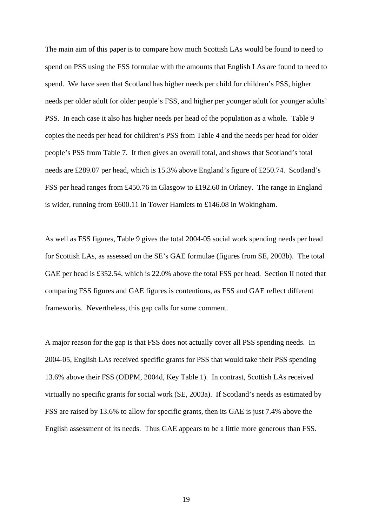The main aim of this paper is to compare how much Scottish LAs would be found to need to spend on PSS using the FSS formulae with the amounts that English LAs are found to need to spend. We have seen that Scotland has higher needs per child for children's PSS, higher needs per older adult for older people's FSS, and higher per younger adult for younger adults' PSS. In each case it also has higher needs per head of the population as a whole. Table 9 copies the needs per head for children's PSS from Table 4 and the needs per head for older people's PSS from Table 7. It then gives an overall total, and shows that Scotland's total needs are £289.07 per head, which is 15.3% above England's figure of £250.74. Scotland's FSS per head ranges from £450.76 in Glasgow to £192.60 in Orkney. The range in England is wider, running from £600.11 in Tower Hamlets to £146.08 in Wokingham.

As well as FSS figures, Table 9 gives the total 2004-05 social work spending needs per head for Scottish LAs, as assessed on the SE's GAE formulae (figures from SE, 2003b). The total GAE per head is £352.54, which is 22.0% above the total FSS per head. Section II noted that comparing FSS figures and GAE figures is contentious, as FSS and GAE reflect different frameworks. Nevertheless, this gap calls for some comment.

A major reason for the gap is that FSS does not actually cover all PSS spending needs. In 2004-05, English LAs received specific grants for PSS that would take their PSS spending 13.6% above their FSS (ODPM, 2004d, Key Table 1). In contrast, Scottish LAs received virtually no specific grants for social work (SE, 2003a). If Scotland's needs as estimated by FSS are raised by 13.6% to allow for specific grants, then its GAE is just 7.4% above the English assessment of its needs. Thus GAE appears to be a little more generous than FSS.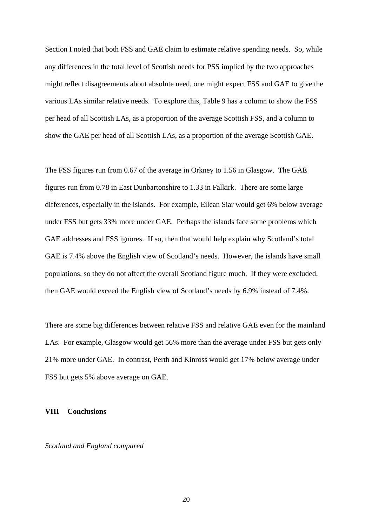Section I noted that both FSS and GAE claim to estimate relative spending needs. So, while any differences in the total level of Scottish needs for PSS implied by the two approaches might reflect disagreements about absolute need, one might expect FSS and GAE to give the various LAs similar relative needs. To explore this, Table 9 has a column to show the FSS per head of all Scottish LAs, as a proportion of the average Scottish FSS, and a column to show the GAE per head of all Scottish LAs, as a proportion of the average Scottish GAE.

The FSS figures run from 0.67 of the average in Orkney to 1.56 in Glasgow. The GAE figures run from 0.78 in East Dunbartonshire to 1.33 in Falkirk. There are some large differences, especially in the islands. For example, Eilean Siar would get 6% below average under FSS but gets 33% more under GAE. Perhaps the islands face some problems which GAE addresses and FSS ignores. If so, then that would help explain why Scotland's total GAE is 7.4% above the English view of Scotland's needs. However, the islands have small populations, so they do not affect the overall Scotland figure much. If they were excluded, then GAE would exceed the English view of Scotland's needs by 6.9% instead of 7.4%.

There are some big differences between relative FSS and relative GAE even for the mainland LAs. For example, Glasgow would get 56% more than the average under FSS but gets only 21% more under GAE. In contrast, Perth and Kinross would get 17% below average under FSS but gets 5% above average on GAE.

## **VIII Conclusions**

*Scotland and England compared*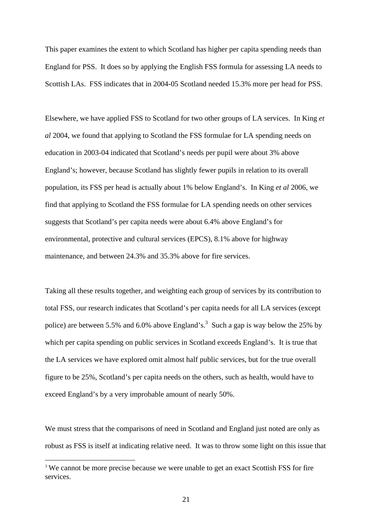This paper examines the extent to which Scotland has higher per capita spending needs than England for PSS. It does so by applying the English FSS formula for assessing LA needs to Scottish LAs. FSS indicates that in 2004-05 Scotland needed 15.3% more per head for PSS.

Elsewhere, we have applied FSS to Scotland for two other groups of LA services. In King *et al* 2004, we found that applying to Scotland the FSS formulae for LA spending needs on education in 2003-04 indicated that Scotland's needs per pupil were about 3% above England's; however, because Scotland has slightly fewer pupils in relation to its overall population, its FSS per head is actually about 1% below England's. In King *et al* 2006, we find that applying to Scotland the FSS formulae for LA spending needs on other services suggests that Scotland's per capita needs were about 6.4% above England's for environmental, protective and cultural services (EPCS), 8.1% above for highway maintenance, and between 24.3% and 35.3% above for fire services.

Taking all these results together, and weighting each group of services by its contribution to total FSS, our research indicates that Scotland's per capita needs for all LA services (except police) are between 5.5% and 6.0% above England's.<sup>[3](#page-20-0)</sup> Such a gap is way below the 25% by which per capita spending on public services in Scotland exceeds England's. It is true that the LA services we have explored omit almost half public services, but for the true overall figure to be 25%, Scotland's per capita needs on the others, such as health, would have to exceed England's by a very improbable amount of nearly 50%.

We must stress that the comparisons of need in Scotland and England just noted are only as robust as FSS is itself at indicating relative need. It was to throw some light on this issue that

 $\overline{a}$ 

<span id="page-20-0"></span><sup>&</sup>lt;sup>3</sup> We cannot be more precise because we were unable to get an exact Scottish FSS for fire services.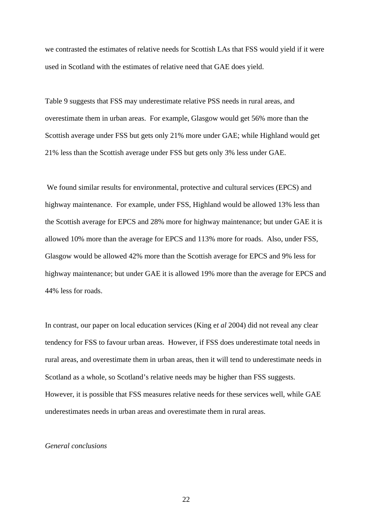we contrasted the estimates of relative needs for Scottish LAs that FSS would yield if it were used in Scotland with the estimates of relative need that GAE does yield.

Table 9 suggests that FSS may underestimate relative PSS needs in rural areas, and overestimate them in urban areas. For example, Glasgow would get 56% more than the Scottish average under FSS but gets only 21% more under GAE; while Highland would get 21% less than the Scottish average under FSS but gets only 3% less under GAE.

 We found similar results for environmental, protective and cultural services (EPCS) and highway maintenance. For example, under FSS, Highland would be allowed 13% less than the Scottish average for EPCS and 28% more for highway maintenance; but under GAE it is allowed 10% more than the average for EPCS and 113% more for roads. Also, under FSS, Glasgow would be allowed 42% more than the Scottish average for EPCS and 9% less for highway maintenance; but under GAE it is allowed 19% more than the average for EPCS and 44% less for roads.

In contrast, our paper on local education services (King e*t al* 2004) did not reveal any clear tendency for FSS to favour urban areas. However, if FSS does underestimate total needs in rural areas, and overestimate them in urban areas, then it will tend to underestimate needs in Scotland as a whole, so Scotland's relative needs may be higher than FSS suggests. However, it is possible that FSS measures relative needs for these services well, while GAE underestimates needs in urban areas and overestimate them in rural areas.

## *General conclusions*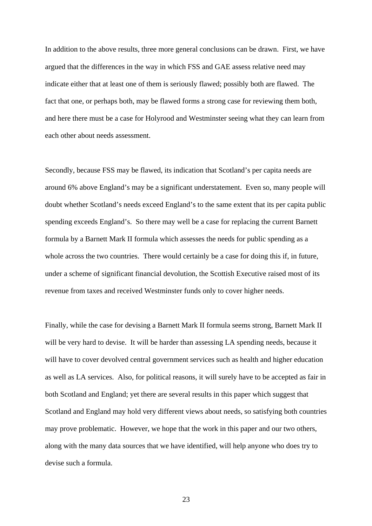In addition to the above results, three more general conclusions can be drawn. First, we have argued that the differences in the way in which FSS and GAE assess relative need may indicate either that at least one of them is seriously flawed; possibly both are flawed. The fact that one, or perhaps both, may be flawed forms a strong case for reviewing them both, and here there must be a case for Holyrood and Westminster seeing what they can learn from each other about needs assessment.

Secondly, because FSS may be flawed, its indication that Scotland's per capita needs are around 6% above England's may be a significant understatement. Even so, many people will doubt whether Scotland's needs exceed England's to the same extent that its per capita public spending exceeds England's. So there may well be a case for replacing the current Barnett formula by a Barnett Mark II formula which assesses the needs for public spending as a whole across the two countries. There would certainly be a case for doing this if, in future, under a scheme of significant financial devolution, the Scottish Executive raised most of its revenue from taxes and received Westminster funds only to cover higher needs.

Finally, while the case for devising a Barnett Mark II formula seems strong, Barnett Mark II will be very hard to devise. It will be harder than assessing LA spending needs, because it will have to cover devolved central government services such as health and higher education as well as LA services. Also, for political reasons, it will surely have to be accepted as fair in both Scotland and England; yet there are several results in this paper which suggest that Scotland and England may hold very different views about needs, so satisfying both countries may prove problematic. However, we hope that the work in this paper and our two others, along with the many data sources that we have identified, will help anyone who does try to devise such a formula.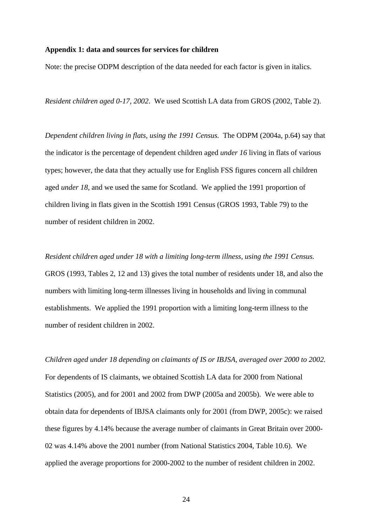## **Appendix 1: data and sources for services for children**

Note: the precise ODPM description of the data needed for each factor is given in italics.

*Resident children aged 0-17, 2002*. We used Scottish LA data from GROS (2002, Table 2).

*Dependent children living in flats, using the 1991 Census.* The ODPM (2004a, p.64) say that the indicator is the percentage of dependent children aged *under 16* living in flats of various types; however, the data that they actually use for English FSS figures concern all children aged *under 18*, and we used the same for Scotland. We applied the 1991 proportion of children living in flats given in the Scottish 1991 Census (GROS 1993, Table 79) to the number of resident children in 2002.

*Resident children aged under 18 with a limiting long-term illness, using the 1991 Census.*  GROS (1993, Tables 2, 12 and 13) gives the total number of residents under 18, and also the numbers with limiting long-term illnesses living in households and living in communal establishments. We applied the 1991 proportion with a limiting long-term illness to the number of resident children in 2002.

*Children aged under 18 depending on claimants of IS or IBJSA, averaged over 2000 to 2002.*  For dependents of IS claimants, we obtained Scottish LA data for 2000 from National Statistics (2005), and for 2001 and 2002 from DWP (2005a and 2005b). We were able to obtain data for dependents of IBJSA claimants only for 2001 (from DWP, 2005c): we raised these figures by 4.14% because the average number of claimants in Great Britain over 2000- 02 was 4.14% above the 2001 number (from National Statistics 2004, Table 10.6). We applied the average proportions for 2000-2002 to the number of resident children in 2002.

24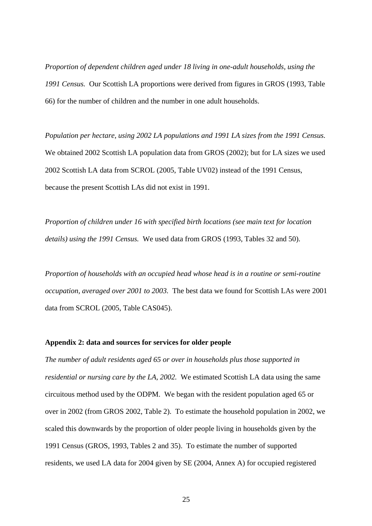*Proportion of dependent children aged under 18 living in one-adult households, using the 1991 Census.* Our Scottish LA proportions were derived from figures in GROS (1993, Table 66) for the number of children and the number in one adult households.

*Population per hectare, using 2002 LA populations and 1991 LA sizes from the 1991 Census.*  We obtained 2002 Scottish LA population data from GROS (2002); but for LA sizes we used 2002 Scottish LA data from SCROL (2005, Table UV02) instead of the 1991 Census, because the present Scottish LAs did not exist in 1991.

*Proportion of children under 16 with specified birth locations (see main text for location details) using the 1991 Census.* We used data from GROS (1993, Tables 32 and 50).

*Proportion of households with an occupied head whose head is in a routine or semi-routine occupation, averaged over 2001 to 2003.* The best data we found for Scottish LAs were 2001 data from SCROL (2005, Table CAS045).

#### **Appendix 2: data and sources for services for older people**

*The number of adult residents aged 65 or over in households plus those supported in residential or nursing care by the LA, 2002.* We estimated Scottish LA data using the same circuitous method used by the ODPM. We began with the resident population aged 65 or over in 2002 (from GROS 2002, Table 2). To estimate the household population in 2002, we scaled this downwards by the proportion of older people living in households given by the 1991 Census (GROS, 1993, Tables 2 and 35). To estimate the number of supported residents, we used LA data for 2004 given by SE (2004, Annex A) for occupied registered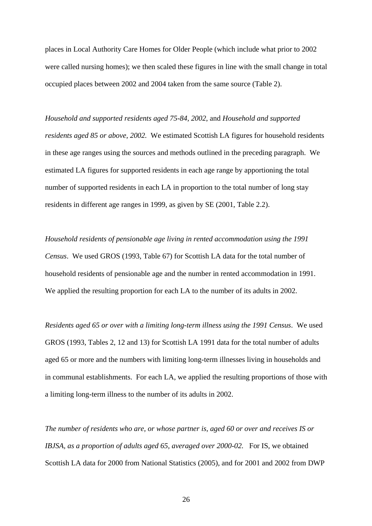places in Local Authority Care Homes for Older People (which include what prior to 2002 were called nursing homes); we then scaled these figures in line with the small change in total occupied places between 2002 and 2004 taken from the same source (Table 2).

*Household and supported residents aged 75-84, 2002*, and *Household and supported residents aged 85 or above, 2002.* We estimated Scottish LA figures for household residents in these age ranges using the sources and methods outlined in the preceding paragraph. We estimated LA figures for supported residents in each age range by apportioning the total number of supported residents in each LA in proportion to the total number of long stay residents in different age ranges in 1999, as given by SE (2001, Table 2.2).

*Household residents of pensionable age living in rented accommodation using the 1991 Census*. We used GROS (1993, Table 67) for Scottish LA data for the total number of household residents of pensionable age and the number in rented accommodation in 1991. We applied the resulting proportion for each LA to the number of its adults in 2002.

*Residents aged 65 or over with a limiting long-term illness using the 1991 Census*. We used GROS (1993, Tables 2, 12 and 13) for Scottish LA 1991 data for the total number of adults aged 65 or more and the numbers with limiting long-term illnesses living in households and in communal establishments. For each LA, we applied the resulting proportions of those with a limiting long-term illness to the number of its adults in 2002.

*The number of residents who are, or whose partner is, aged 60 or over and receives IS or IBJSA, as a proportion of adults aged 65, averaged over 2000-02.* For IS, we obtained Scottish LA data for 2000 from National Statistics (2005), and for 2001 and 2002 from DWP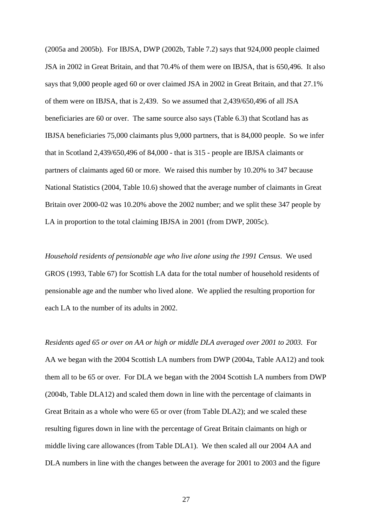(2005a and 2005b). For IBJSA, DWP (2002b, Table 7.2) says that 924,000 people claimed JSA in 2002 in Great Britain, and that 70.4% of them were on IBJSA, that is 650,496. It also says that 9,000 people aged 60 or over claimed JSA in 2002 in Great Britain, and that 27.1% of them were on IBJSA, that is 2,439. So we assumed that 2,439/650,496 of all JSA beneficiaries are 60 or over. The same source also says (Table 6.3) that Scotland has as IBJSA beneficiaries 75,000 claimants plus 9,000 partners, that is 84,000 people. So we infer that in Scotland 2,439/650,496 of 84,000 - that is 315 - people are IBJSA claimants or partners of claimants aged 60 or more. We raised this number by 10.20% to 347 because National Statistics (2004, Table 10.6) showed that the average number of claimants in Great Britain over 2000-02 was 10.20% above the 2002 number; and we split these 347 people by LA in proportion to the total claiming IBJSA in 2001 (from DWP, 2005c).

*Household residents of pensionable age who live alone using the 1991 Census*. We used GROS (1993, Table 67) for Scottish LA data for the total number of household residents of pensionable age and the number who lived alone. We applied the resulting proportion for each LA to the number of its adults in 2002.

*Residents aged 65 or over on AA or high or middle DLA averaged over 2001 to 2003.* For AA we began with the 2004 Scottish LA numbers from DWP (2004a, Table AA12) and took them all to be 65 or over. For DLA we began with the 2004 Scottish LA numbers from DWP (2004b, Table DLA12) and scaled them down in line with the percentage of claimants in Great Britain as a whole who were 65 or over (from Table DLA2); and we scaled these resulting figures down in line with the percentage of Great Britain claimants on high or middle living care allowances (from Table DLA1). We then scaled all our 2004 AA and DLA numbers in line with the changes between the average for 2001 to 2003 and the figure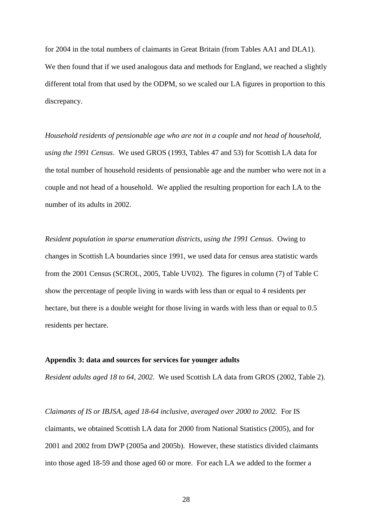for 2004 in the total numbers of claimants in Great Britain (from Tables AA1 and DLA1). We then found that if we used analogous data and methods for England, we reached a slightly different total from that used by the ODPM, so we scaled our LA figures in proportion to this discrepancy.

*Household residents of pensionable age who are not in a couple and not head of household, using the 1991 Census*. We used GROS (1993, Tables 47 and 53) for Scottish LA data for the total number of household residents of pensionable age and the number who were not in a couple and not head of a household. We applied the resulting proportion for each LA to the number of its adults in 2002.

*Resident population in sparse enumeration districts, using the 1991 Census.* Owing to changes in Scottish LA boundaries since 1991, we used data for census area statistic wards from the 2001 Census (SCROL, 2005, Table UV02). The figures in column (7) of Table C show the percentage of people living in wards with less than or equal to 4 residents per hectare, but there is a double weight for those living in wards with less than or equal to 0.5 residents per hectare.

#### **Appendix 3: data and sources for services for younger adults**

*Resident adults aged 18 to 64, 2002*. We used Scottish LA data from GROS (2002, Table 2).

*Claimants of IS or IBJSA, aged 18-64 inclusive, averaged over 2000 to 2002.* For IS claimants, we obtained Scottish LA data for 2000 from National Statistics (2005), and for 2001 and 2002 from DWP (2005a and 2005b). However, these statistics divided claimants into those aged 18-59 and those aged 60 or more. For each LA we added to the former a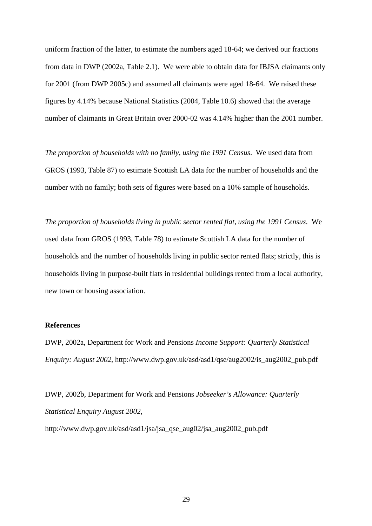uniform fraction of the latter, to estimate the numbers aged 18-64; we derived our fractions from data in DWP (2002a, Table 2.1). We were able to obtain data for IBJSA claimants only for 2001 (from DWP 2005c) and assumed all claimants were aged 18-64. We raised these figures by 4.14% because National Statistics (2004, Table 10.6) showed that the average number of claimants in Great Britain over 2000-02 was 4.14% higher than the 2001 number.

*The proportion of households with no family, using the 1991 Census*. We used data from GROS (1993, Table 87) to estimate Scottish LA data for the number of households and the number with no family; both sets of figures were based on a 10% sample of households.

*The proportion of households living in public sector rented flat, using the 1991 Census*. We used data from GROS (1993, Table 78) to estimate Scottish LA data for the number of households and the number of households living in public sector rented flats; strictly, this is households living in purpose-built flats in residential buildings rented from a local authority, new town or housing association.

## **References**

DWP, 2002a, Department for Work and Pensions *Income Support: Quarterly Statistical Enquiry: August 2002*, http://www.dwp.gov.uk/asd/asd1/qse/aug2002/is\_aug2002\_pub.pdf

DWP, 2002b, Department for Work and Pensions *Jobseeker's Allowance: Quarterly Statistical Enquiry August 2002*,

http://www.dwp.gov.uk/asd/asd1/jsa/jsa\_qse\_aug02/jsa\_aug2002\_pub.pdf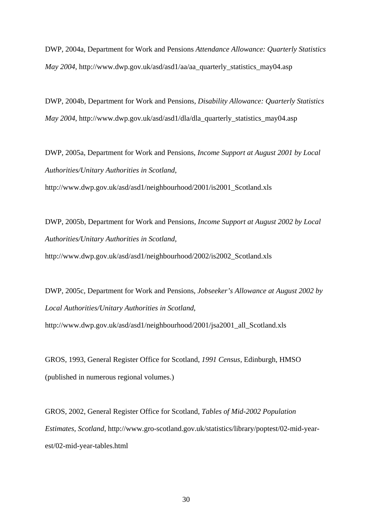DWP, 2004a, Department for Work and Pensions *Attendance Allowance: Quarterly Statistics May 2004*, http://www.dwp.gov.uk/asd/asd1/aa/aa\_quarterly\_statistics\_may04.asp

DWP, 2004b, Department for Work and Pensions, *Disability Allowance: Quarterly Statistics May 2004*, http://www.dwp.gov.uk/asd/asd1/dla/dla\_quarterly\_statistics\_may04.asp

DWP, 2005a, Department for Work and Pensions, *Income Support at August 2001 by Local Authorities/Unitary Authorities in Scotland*,

http://www.dwp.gov.uk/asd/asd1/neighbourhood/2001/is2001\_Scotland.xls

DWP, 2005b, Department for Work and Pensions, *Income Support at August 2002 by Local Authorities/Unitary Authorities in Scotland*, http://www.dwp.gov.uk/asd/asd1/neighbourhood/2002/is2002\_Scotland.xls

DWP, 2005c, Department for Work and Pensions, *Jobseeker's Allowance at August 2002 by Local Authorities/Unitary Authorities in Scotland*,

http://www.dwp.gov.uk/asd/asd1/neighbourhood/2001/jsa2001\_all\_Scotland.xls

GROS, 1993, General Register Office for Scotland, *1991 Census*, Edinburgh, HMSO (published in numerous regional volumes.)

GROS, 2002, General Register Office for Scotland, *Tables of Mid-2002 Population Estimates, Scotland*, http://www.gro-scotland.gov.uk/statistics/library/poptest/02-mid-yearest/02-mid-year-tables.html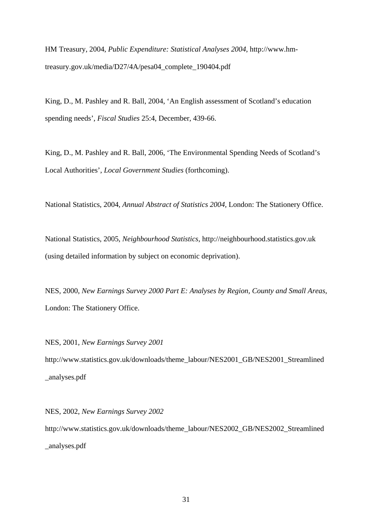HM Treasury, 2004, *Public Expenditure: Statistical Analyses 2004*, http://www.hmtreasury.gov.uk/media/D27/4A/pesa04\_complete\_190404.pdf

King, D., M. Pashley and R. Ball, 2004, 'An English assessment of Scotland's education spending needs', *Fiscal Studies* 25:4, December, 439-66.

King, D., M. Pashley and R. Ball, 2006, 'The Environmental Spending Needs of Scotland's Local Authorities', *Local Government Studies* (forthcoming).

National Statistics, 2004, *Annual Abstract of Statistics 2004,* London: The Stationery Office.

National Statistics, 2005, *Neighbourhood Statistics*, http://neighbourhood.statistics.gov.uk (using detailed information by subject on economic deprivation).

NES, 2000, *New Earnings Survey 2000 Part E: Analyses by Region, County and Small Areas*, London: The Stationery Office.

NES, 2001, *New Earnings Survey 2001*  http://www.statistics.gov.uk/downloads/theme\_labour/NES2001\_GB/NES2001\_Streamlined \_analyses.pdf

NES, 2002, *New Earnings Survey 2002*  http://www.statistics.gov.uk/downloads/theme\_labour/NES2002\_GB/NES2002\_Streamlined \_analyses.pdf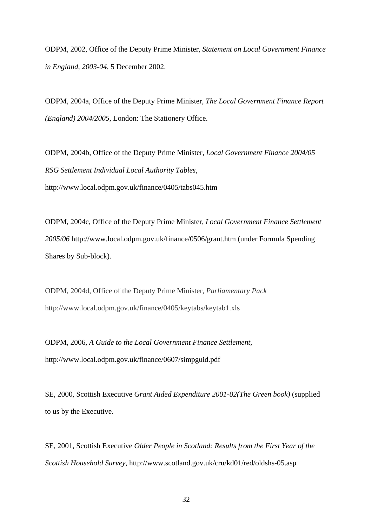ODPM, 2002, Office of the Deputy Prime Minister, *Statement on Local Government Finance in England, 2003-04,* 5 December 2002.

ODPM, 2004a, Office of the Deputy Prime Minister, *The Local Government Finance Report (England) 2004/2005*, London: The Stationery Office.

ODPM, 2004b, Office of the Deputy Prime Minister, *Local Government Finance 2004/05 RSG Settlement Individual Local Authority Tables*, http://www.local.odpm.gov.uk/finance/0405/tabs045.htm

ODPM, 2004c, Office of the Deputy Prime Minister, *Local Government Finance Settlement 2005/06* http://www.local.odpm.gov.uk/finance/0506/grant.htm (under Formula Spending Shares by Sub-block).

ODPM, 2004d, Office of the Deputy Prime Minister, *Parliamentary Pack* <http://www.local.odpm.gov.uk/finance/0405/keytabs/keytab1.xls>

ODPM, 2006, *A Guide to the Local Government Finance Settlement*, http://www.local.odpm.gov.uk/finance/0607/simpguid.pdf

SE, 2000, Scottish Executive *Grant Aided Expenditure 2001-02(The Green book)* (supplied to us by the Executive.

SE, 2001, Scottish Executive *Older People in Scotland: Results from the First Year of the Scottish Household Survey*, http://www.scotland.gov.uk/cru/kd01/red/oldshs-05.asp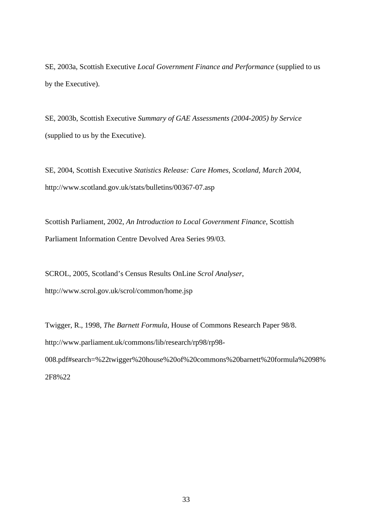SE, 2003a, Scottish Executive *Local Government Finance and Performance* (supplied to us by the Executive).

SE, 2003b, Scottish Executive *Summary of GAE Assessments (2004-2005) by Service* (supplied to us by the Executive).

SE, 2004, Scottish Executive *Statistics Release: Care Homes, Scotland, March 2004*, http://www.scotland.gov.uk/stats/bulletins/00367-07.asp

Scottish Parliament, 2002, *An Introduction to Local Government Finance*, Scottish Parliament Information Centre Devolved Area Series 99/03.

SCROL, 2005, Scotland's Census Results OnLine *Scrol Analyser*, http://www.scrol.gov.uk/scrol/common/home.jsp

Twigger, R., 1998, *The Barnett Formula*, House of Commons Research Paper 98/8. http://www.parliament.uk/commons/lib/research/rp98/rp98- 008.pdf#search=%22twigger%20house%20of%20commons%20barnett%20formula%2098% 2F8%22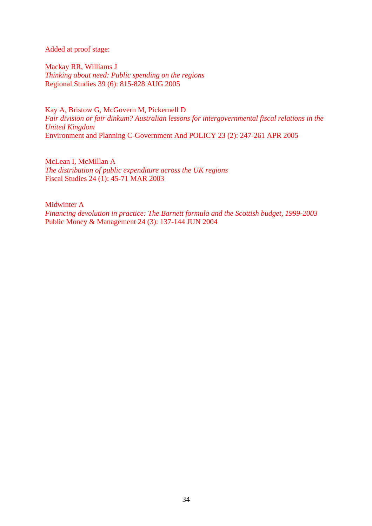Added at proof stage:

[Mackay RR,](http://apps.isiknowledge.com/WoS/CIW.cgi?SID=T1l23polIi5afJnO9Fc&Func=OneClickSearch&field=AU&val=Mackay+RR&ut=000233244400010&auloc=1&curr_doc=1/1&Form=FullRecordPage&doc=1/1) [Williams J](http://apps.isiknowledge.com/WoS/CIW.cgi?SID=T1l23polIi5afJnO9Fc&Func=OneClickSearch&field=AU&val=Williams+J&ut=000233244400010&auloc=2&curr_doc=1/1&Form=FullRecordPage&doc=1/1) *Thinking about need: Public spending on the regions*  Regional Studies 39 (6): 815-828 AUG 2005

[Kay A,](http://apps.isiknowledge.com/WoS/CIW.cgi?SID=T1l23polIi5afJnO9Fc&Func=OneClickSearch&field=AU&val=Kay+A&ut=000229699200006&auloc=1&curr_doc=8/1&Form=FullRecordPage&doc=8/1) [Bristow G](http://apps.isiknowledge.com/WoS/CIW.cgi?SID=T1l23polIi5afJnO9Fc&Func=OneClickSearch&field=AU&val=Bristow+G&ut=000229699200006&auloc=2&curr_doc=8/1&Form=FullRecordPage&doc=8/1), [McGovern M](http://apps.isiknowledge.com/WoS/CIW.cgi?SID=T1l23polIi5afJnO9Fc&Func=OneClickSearch&field=AU&val=McGovern+M&ut=000229699200006&auloc=3&curr_doc=8/1&Form=FullRecordPage&doc=8/1), [Pickernell D](http://apps.isiknowledge.com/WoS/CIW.cgi?SID=T1l23polIi5afJnO9Fc&Func=OneClickSearch&field=AU&val=Pickernell+D&ut=000229699200006&auloc=4&curr_doc=8/1&Form=FullRecordPage&doc=8/1) *Fair division or fair dinkum? Australian lessons for intergovernmental fiscal relations in the United Kingdom*  Environment and Planning C-Government And POLICY 23 (2): 247-261 APR 2005

McLean [I, M](http://apps.isiknowledge.com/WoS/CIW.cgi?SID=T1l23polIi5afJnO9Fc&Func=OneClickSearch&field=AU&val=McLean+I&ut=000181563600003&auloc=1&curr_doc=9/1&Form=FullRecordPage&doc=9/1)cMillan A *The distribution of public expenditure across the UK regions*  Fiscal Studies 24 (1): 45-71 MAR 2003

Midwinter [A](http://apps.isiknowledge.com/WoS/CIW.cgi?SID=T1l23polIi5afJnO9Fc&Func=OneClickSearch&field=AU&val=Midwinter+A&ut=000221487800005&auloc=1&curr_doc=11/1&Form=FullRecordPage&doc=11/1)  *Financing devolution in practice: The Barnett formula and the Scottish budget, 1999-2003*  Public Money & Management 24 (3): 137-144 JUN 2004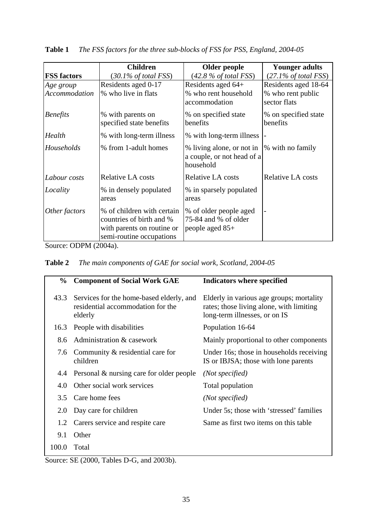|                    | <b>Children</b>                                                                                                  | Older people                                                         | <b>Younger adults</b>             |
|--------------------|------------------------------------------------------------------------------------------------------------------|----------------------------------------------------------------------|-----------------------------------|
| <b>FSS factors</b> | $(30.1\% \text{ of total FSS})$                                                                                  | (42.8 % of total FSS)                                                | $(27.1\% \text{ of total FSS})$   |
| Age group          | Residents aged 0-17                                                                                              | Residents aged 64+                                                   | Residents aged 18-64              |
| Accommodation      | % who live in flats                                                                                              | % who rent household<br>accommodation                                | % who rent public<br>sector flats |
| <b>Benefits</b>    | % with parents on<br>specified state benefits                                                                    | % on specified state<br>% on specified state<br>benefits<br>benefits |                                   |
| Health             | % with long-term illness                                                                                         | % with long-term illness                                             |                                   |
| Households         | % from 1-adult homes                                                                                             | % living alone, or not in<br>a couple, or not head of a<br>household | % with no family                  |
| Labour costs       | <b>Relative LA costs</b>                                                                                         | <b>Relative LA costs</b>                                             | <b>Relative LA costs</b>          |
| Locality           | % in densely populated<br>areas                                                                                  | % in sparsely populated<br>areas                                     |                                   |
| Other factors      | % of children with certain<br>countries of birth and %<br>with parents on routine or<br>semi-routine occupations | % of older people aged<br>75-84 and % of older<br>people aged $85+$  |                                   |

**Table 1** *The FSS factors for the three sub-blocks of FSS for PSS, England, 2004-05*

Source: ODPM (2004a).

|  |  |  |  | Table 2 The main components of GAE for social work, Scotland, 2004-05 |  |  |
|--|--|--|--|-----------------------------------------------------------------------|--|--|
|--|--|--|--|-----------------------------------------------------------------------|--|--|

| $\frac{0}{0}$ | <b>Component of Social Work GAE</b>                                                      | Indicators where specified                                                                                            |
|---------------|------------------------------------------------------------------------------------------|-----------------------------------------------------------------------------------------------------------------------|
| 43.3          | Services for the home-based elderly, and<br>residential accommodation for the<br>elderly | Elderly in various age groups; mortality<br>rates; those living alone, with limiting<br>long-term illnesses, or on IS |
| 16.3          | People with disabilities                                                                 | Population 16-64                                                                                                      |
| 8.6           | Administration & casework                                                                | Mainly proportional to other components                                                                               |
| 7.6           | Community & residential care for<br>children                                             | Under 16s; those in households receiving<br>IS or IBJSA; those with lone parents                                      |
| 4.4           | Personal & nursing care for older people                                                 | (Not specified)                                                                                                       |
| 4.0           | Other social work services                                                               | Total population                                                                                                      |
| 3.5           | Care home fees                                                                           | (Not specified)                                                                                                       |
| 2.0           | Day care for children                                                                    | Under 5s; those with 'stressed' families                                                                              |
| 1.2           | Carers service and respite care                                                          | Same as first two items on this table                                                                                 |
| 9.1           | Other                                                                                    |                                                                                                                       |
| 100.0         | Total                                                                                    |                                                                                                                       |

Source: SE (2000, Tables D-G, and 2003b).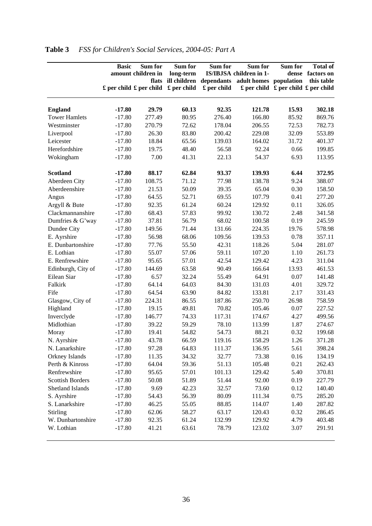|                         | <b>Basic</b> | Sum for<br>amount children in<br>£ per child £ per child | Sum for<br>long-term<br>£ per child | Sum for<br>£ per child | Sum for<br>IS/IBJSA children in 1-<br>flats ill children dependants adult homes population | Sum for<br>$\mathbf{\pounds}$ per child $\mathbf{\pounds}$ per child $\mathbf{\pounds}$ per child | <b>Total of</b><br>dense factors on<br>this table |
|-------------------------|--------------|----------------------------------------------------------|-------------------------------------|------------------------|--------------------------------------------------------------------------------------------|---------------------------------------------------------------------------------------------------|---------------------------------------------------|
| <b>England</b>          | $-17.80$     | 29.79                                                    | 60.13                               | 92.35                  | 121.78                                                                                     | 15.93                                                                                             | 302.18                                            |
| <b>Tower Hamlets</b>    | $-17.80$     | 277.49                                                   | 80.95                               | 276.40                 | 166.80                                                                                     | 85.92                                                                                             | 869.76                                            |
| Westminster             | $-17.80$     | 270.79                                                   | 72.62                               | 178.04                 | 206.55                                                                                     | 72.53                                                                                             | 782.73                                            |
| Liverpool               | $-17.80$     | 26.30                                                    | 83.80                               | 200.42                 | 229.08                                                                                     | 32.09                                                                                             | 553.89                                            |
| Leicester               | $-17.80$     | 18.84                                                    | 65.56                               | 139.03                 | 164.02                                                                                     | 31.72                                                                                             | 401.37                                            |
| Herefordshire           | $-17.80$     | 19.75                                                    | 48.40                               | 56.58                  | 92.24                                                                                      | 0.66                                                                                              | 199.85                                            |
| Wokingham               | $-17.80$     | 7.00                                                     | 41.31                               | 22.13                  | 54.37                                                                                      | 6.93                                                                                              | 113.95                                            |
| <b>Scotland</b>         | $-17.80$     | 88.17                                                    | 62.84                               | 93.37                  | 139.93                                                                                     | 6.44                                                                                              | 372.95                                            |
| Aberdeen City           | $-17.80$     | 108.75                                                   | 71.12                               | 77.98                  | 138.78                                                                                     | 9.24                                                                                              | 388.07                                            |
| Aberdeenshire           | $-17.80$     | 21.53                                                    | 50.09                               | 39.35                  | 65.04                                                                                      | 0.30                                                                                              | 158.50                                            |
| Angus                   | $-17.80$     | 64.55                                                    | 52.71                               | 69.55                  | 107.79                                                                                     | 0.41                                                                                              | 277.20                                            |
| Argyll & Bute           | $-17.80$     | 92.35                                                    | 61.24                               | 60.24                  | 129.92                                                                                     | 0.11                                                                                              | 326.05                                            |
| Clackmannanshire        | $-17.80$     | 68.43                                                    | 57.83                               | 99.92                  | 130.72                                                                                     | 2.48                                                                                              | 341.58                                            |
| Dumfries & G'way        | $-17.80$     | 37.81                                                    | 56.79                               | 68.02                  | 100.58                                                                                     | 0.19                                                                                              | 245.59                                            |
| Dundee City             | $-17.80$     | 149.56                                                   | 71.44                               | 131.66                 | 224.35                                                                                     | 19.76                                                                                             | 578.98                                            |
| E. Ayrshire             | $-17.80$     | 56.98                                                    | 68.06                               | 109.56                 | 139.53                                                                                     | 0.78                                                                                              | 357.11                                            |
| E. Dunbartonshire       | $-17.80$     | 77.76                                                    | 55.50                               | 42.31                  | 118.26                                                                                     | 5.04                                                                                              | 281.07                                            |
| E. Lothian              | $-17.80$     | 55.07                                                    | 57.06                               | 59.11                  | 107.20                                                                                     | 1.10                                                                                              | 261.73                                            |
| E. Renfrewshire         | $-17.80$     | 95.65                                                    | 57.01                               | 42.54                  | 129.42                                                                                     | 4.23                                                                                              | 311.04                                            |
| Edinburgh, City of      | $-17.80$     | 144.69                                                   | 63.58                               | 90.49                  | 166.64                                                                                     | 13.93                                                                                             | 461.53                                            |
| Eilean Siar             | $-17.80$     | 6.57                                                     | 32.24                               | 55.49                  | 64.91                                                                                      | 0.07                                                                                              | 141.48                                            |
| Falkirk                 | $-17.80$     | 64.14                                                    | 64.03                               | 84.30                  | 131.03                                                                                     | 4.01                                                                                              | 329.72                                            |
| Fife                    | $-17.80$     | 64.54                                                    | 63.90                               | 84.82                  | 133.81                                                                                     | 2.17                                                                                              | 331.43                                            |
| Glasgow, City of        | $-17.80$     | 224.31                                                   | 86.55                               | 187.86                 | 250.70                                                                                     | 26.98                                                                                             | 758.59                                            |
| Highland                | $-17.80$     | 19.15                                                    | 49.81                               | 70.82                  | 105.46                                                                                     | 0.07                                                                                              | 227.52                                            |
| Inverclyde              | $-17.80$     | 146.77                                                   | 74.33                               | 117.31                 | 174.67                                                                                     | 4.27                                                                                              | 499.56                                            |
| Midlothian              | $-17.80$     | 39.22                                                    | 59.29                               | 78.10                  | 113.99                                                                                     | 1.87                                                                                              | 274.67                                            |
| Moray                   | $-17.80$     | 19.41                                                    | 54.82                               | 54.73                  | 88.21                                                                                      | 0.32                                                                                              | 199.68                                            |
| N. Ayrshire             | $-17.80$     | 43.78                                                    | 66.59                               | 119.16                 | 158.29                                                                                     | 1.26                                                                                              | 371.28                                            |
| N. Lanarkshire          | $-17.80$     | 97.28                                                    | 64.83                               | 111.37                 | 136.95                                                                                     | 5.61                                                                                              | 398.24                                            |
| Orkney Islands          | $-17.80$     | 11.35                                                    | 34.32                               | 32.77                  | 73.38                                                                                      | 0.16                                                                                              | 134.19                                            |
| Perth & Kinross         | $-17.80$     | 64.04                                                    | 59.36                               | 51.13                  | 105.48                                                                                     | 0.21                                                                                              | 262.43                                            |
| Renfrewshire            | $-17.80$     | 95.65                                                    | 57.01                               | 101.13                 | 129.42                                                                                     | 5.40                                                                                              | 370.81                                            |
| <b>Scottish Borders</b> | $-17.80$     | 50.08                                                    | 51.89                               | 51.44                  | 92.00                                                                                      | 0.19                                                                                              | 227.79                                            |
| Shetland Islands        | $-17.80$     | 9.69                                                     | 42.23                               | 32.57                  | 73.60                                                                                      | 0.12                                                                                              | 140.40                                            |
| S. Ayrshire             | $-17.80$     | 54.43                                                    | 56.39                               | 80.09                  | 111.34                                                                                     | 0.75                                                                                              | 285.20                                            |
| S. Lanarkshire          | $-17.80$     | 46.25                                                    | 55.05                               | 88.85                  | 114.07                                                                                     | 1.40                                                                                              | 287.82                                            |
| Stirling                | $-17.80$     | 62.06                                                    | 58.27                               | 63.17                  | 120.43                                                                                     | 0.32                                                                                              | 286.45                                            |
| W. Dunbartonshire       | $-17.80$     | 92.35                                                    | 61.24                               | 132.99                 | 129.92                                                                                     | 4.79                                                                                              | 403.48                                            |
| W. Lothian              | $-17.80$     | 41.21                                                    | 63.61                               | 78.79                  | 123.02                                                                                     | 3.07                                                                                              | 291.91                                            |

# **Table 3** *FSS for Children's Social Services, 2004-05: Part A*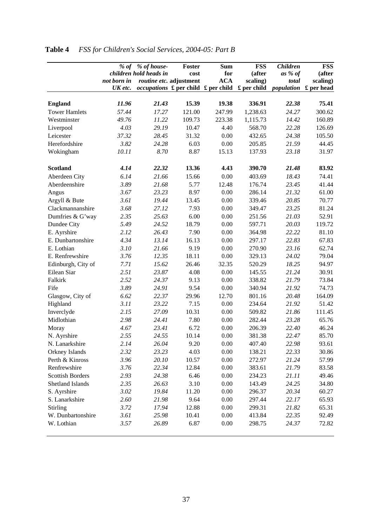|                         | $%$ of      | % of house-            | Foster                                                                       | <b>Sum</b> | <b>FSS</b>          | <b>Children</b> | <b>FSS</b> |
|-------------------------|-------------|------------------------|------------------------------------------------------------------------------|------------|---------------------|-----------------|------------|
|                         |             | children hold heads in | cost                                                                         | for        | (after              | as % of         | (after     |
|                         | not born in |                        | routine etc. adjustment                                                      | <b>ACA</b> | scaling)            | total           | scaling)   |
|                         | UK etc.     |                        | <i>occupations</i> $\mathbf{\pounds}$ per child $\mathbf{\pounds}$ per child |            | $\pounds$ per child | population      | £ per head |
|                         |             |                        |                                                                              | 19.38      |                     |                 |            |
| <b>England</b>          | 11.96       | 21.43                  | 15.39                                                                        |            | 336.91              | 22.38           | 75.41      |
| <b>Tower Hamlets</b>    | 57.44       | 17.27                  | 121.00                                                                       | 247.99     | 1,238.63            | 24.27           | 300.62     |
| Westminster             | 49.76       | 11.22                  | 109.73                                                                       | 223.38     | 1,115.73            | 14.42           | 160.89     |
| Liverpool               | 4.03        | 29.19                  | 10.47                                                                        | 4.40       | 568.70              | 22.28           | 126.69     |
| Leicester               | 37.32       | 28.45                  | 31.32                                                                        | 0.00       | 432.65              | 24.38           | 105.50     |
| Herefordshire           | 3.82        | 24.28                  | 6.03                                                                         | 0.00       | 205.85              | 21.59           | 44.45      |
| Wokingham               | 10.11       | 8.70                   | 8.87                                                                         | 15.13      | 137.93              | 23.18           | 31.97      |
| <b>Scotland</b>         | 4.14        | 22.32                  | 13.36                                                                        | 4.43       | 390.70              | 21.48           | 83.92      |
| Aberdeen City           | 6.14        | 21.66                  | 15.66                                                                        | 0.00       | 403.69              | 18.43           | 74.41      |
| Aberdeenshire           | 3.89        | 21.68                  | 5.77                                                                         | 12.48      | 176.74              | 23.45           | 41.44      |
| Angus                   | 3.67        | 23.23                  | 8.97                                                                         | 0.00       | 286.14              | 21.32           | 61.00      |
| Argyll & Bute           | 3.61        | 19.44                  | 13.45                                                                        | 0.00       | 339.46              | 20.85           | 70.77      |
| Clackmannanshire        | 3.68        | 27.12                  | 7.93                                                                         | 0.00       | 349.47              | 23.25           | 81.24      |
| Dumfries & G'way        | 2.35        | 25.63                  | 6.00                                                                         | 0.00       | 251.56              | 21.03           | 52.91      |
| Dundee City             | 5.49        | 24.52                  | 18.79                                                                        | 0.00       | 597.71              | 20.03           | 119.72     |
| E. Ayrshire             | 2.12        | 26.43                  | 7.90                                                                         | 0.00       | 364.98              | 22.22           | 81.10      |
| E. Dunbartonshire       | 4.34        | 13.14                  | 16.13                                                                        | 0.00       | 297.17              | 22.83           | 67.83      |
| E. Lothian              | 3.10        | 21.66                  | 9.19                                                                         | 0.00       | 270.90              | 23.16           | 62.74      |
| E. Renfrewshire         | 3.76        | 12.35                  | 18.11                                                                        | 0.00       | 329.13              | 24.02           | 79.04      |
| Edinburgh, City of      | 7.71        | 15.62                  | 26.46                                                                        | 32.35      | 520.29              | 18.25           | 94.97      |
| Eilean Siar             | 2.51        | 23.87                  | 4.08                                                                         | 0.00       | 145.55              | 21.24           | 30.91      |
| Falkirk                 | 2.52        | 24.37                  | 9.13                                                                         | 0.00       | 338.82              | 21.79           | 73.84      |
| Fife                    | 3.89        | 24.91                  | 9.54                                                                         | 0.00       | 340.94              | 21.92           | 74.73      |
| Glasgow, City of        | 6.62        | 22.37                  | 29.96                                                                        | 12.70      | 801.16              | 20.48           | 164.09     |
| Highland                | 3.11        | 23.22                  | 7.15                                                                         | 0.00       | 234.64              | 21.92           | 51.42      |
| Inverclyde              | 2.15        | 27.09                  | 10.31                                                                        | 0.00       | 509.82              | 21.86           | 111.45     |
| Midlothian              | 2.98        | 24.41                  | 7.80                                                                         | 0.00       | 282.44              | 23.28           | 65.76      |
| Moray                   | 4.67        | 23.41                  | 6.72                                                                         | 0.00       | 206.39              | 22.40           | 46.24      |
| N. Ayrshire             | 2.55        | 24.55                  | 10.14                                                                        | 0.00       | 381.38              | 22.47           | 85.70      |
| N. Lanarkshire          | 2.14        | 26.04                  | 9.20                                                                         | 0.00       | 407.40              | 22.98           | 93.61      |
| Orkney Islands          | 2.32        | 23.23                  | 4.03                                                                         | $0.00\,$   | 138.21              | 22.33           | 30.86      |
| Perth & Kinross         | 3.96        | 20.10                  | 10.57                                                                        | $0.00\,$   | 272.97              | 21.24           | 57.99      |
| Renfrewshire            | 3.76        | 22.34                  | 12.84                                                                        | 0.00       | 383.61              | 21.79           | 83.58      |
| <b>Scottish Borders</b> | 2.93        | 24.38                  | 6.46                                                                         | 0.00       | 234.23              | 21.11           | 49.46      |
| Shetland Islands        | 2.35        | 26.63                  | 3.10                                                                         | 0.00       | 143.49              | 24.25           | 34.80      |
| S. Ayrshire             | 3.02        | 19.84                  | 11.20                                                                        | 0.00       | 296.37              | 20.34           | 60.27      |
| S. Lanarkshire          | 2.60        | 21.98                  | 9.64                                                                         | 0.00       | 297.44              | 22.17           | 65.93      |
| Stirling                | 3.72        | 17.94                  | 12.88                                                                        | 0.00       | 299.31              | 21.82           | 65.31      |
| W. Dunbartonshire       | 3.61        | 25.98                  | 10.41                                                                        | 0.00       | 413.84              | 22.35           | 92.49      |
| W. Lothian              | 3.57        | 26.89                  | 6.87                                                                         | 0.00       | 298.75              | 24.37           | 72.82      |
|                         |             |                        |                                                                              |            |                     |                 |            |

# **Table 4** *FSS for Children's Social Services, 2004-05: Part B*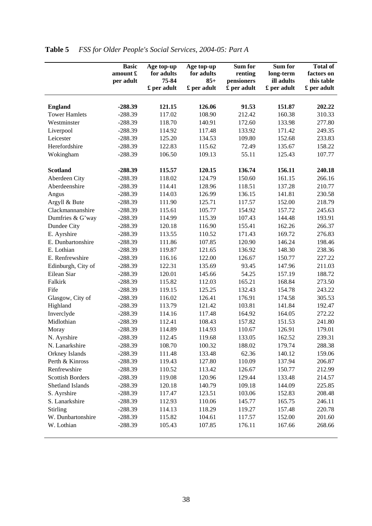|                         | <b>Basic</b><br>amount £<br>per adult | Age top-up<br>for adults<br>75-84<br>£ per adult | Age top-up<br>for adults<br>$85+$<br>£ per adult | Sum for<br>renting<br>pensioners<br>£ per adult | Sum for<br>long-term<br>ill adults<br>£ per adult | <b>Total of</b><br>factors on<br>this table<br>£ per adult |
|-------------------------|---------------------------------------|--------------------------------------------------|--------------------------------------------------|-------------------------------------------------|---------------------------------------------------|------------------------------------------------------------|
|                         |                                       |                                                  |                                                  |                                                 |                                                   |                                                            |
| <b>England</b>          | -288.39                               | 121.15                                           | 126.06                                           | 91.53                                           | 151.87                                            | 202.22                                                     |
| <b>Tower Hamlets</b>    | $-288.39$                             | 117.02                                           | 108.90                                           | 212.42                                          | 160.38                                            | 310.33                                                     |
| Westminster             | $-288.39$                             | 118.70                                           | 140.91                                           | 172.60                                          | 133.98                                            | 277.80                                                     |
| Liverpool               | $-288.39$                             | 114.92                                           | 117.48                                           | 133.92                                          | 171.42                                            | 249.35                                                     |
| Leicester               | $-288.39$                             | 125.20                                           | 134.53                                           | 109.80                                          | 152.68                                            | 233.83                                                     |
| Herefordshire           | $-288.39$                             | 122.83                                           | 115.62                                           | 72.49                                           | 135.67                                            | 158.22                                                     |
| Wokingham               | $-288.39$                             | 106.50                                           | 109.13                                           | 55.11                                           | 125.43                                            | 107.77                                                     |
| <b>Scotland</b>         | $-288.39$                             | 115.57                                           | 120.15                                           | 136.74                                          | 156.11                                            | 240.18                                                     |
| Aberdeen City           | $-288.39$                             | 118.02                                           | 124.79                                           | 150.60                                          | 161.15                                            | 266.16                                                     |
| Aberdeenshire           | $-288.39$                             | 114.41                                           | 128.96                                           | 118.51                                          | 137.28                                            | 210.77                                                     |
| Angus                   | $-288.39$                             | 114.03                                           | 126.99                                           | 136.15                                          | 141.81                                            | 230.58                                                     |
| Argyll & Bute           | $-288.39$                             | 111.90                                           | 125.71                                           | 117.57                                          | 152.00                                            | 218.79                                                     |
| Clackmannanshire        | $-288.39$                             | 115.61                                           | 105.77                                           | 154.92                                          | 157.72                                            | 245.63                                                     |
| Dumfries & G'way        | $-288.39$                             | 114.99                                           | 115.39                                           | 107.43                                          | 144.48                                            | 193.91                                                     |
| Dundee City             | $-288.39$                             | 120.18                                           | 116.90                                           | 155.41                                          | 162.26                                            | 266.37                                                     |
| E. Ayrshire             | $-288.39$                             | 113.55                                           | 110.52                                           | 171.43                                          | 169.72                                            | 276.83                                                     |
| E. Dunbartonshire       | $-288.39$                             | 111.86                                           | 107.85                                           | 120.90                                          | 146.24                                            | 198.46                                                     |
| E. Lothian              | $-288.39$                             | 119.87                                           | 121.65                                           | 136.92                                          | 148.30                                            | 238.36                                                     |
| E. Renfrewshire         | $-288.39$                             | 116.16                                           | 122.00                                           | 126.67                                          | 150.77                                            | 227.22                                                     |
| Edinburgh, City of      | $-288.39$                             | 122.31                                           | 135.69                                           | 93.45                                           | 147.96                                            | 211.03                                                     |
| Eilean Siar             | $-288.39$                             | 120.01                                           | 145.66                                           | 54.25                                           | 157.19                                            | 188.72                                                     |
| Falkirk                 | $-288.39$                             | 115.82                                           | 112.03                                           | 165.21                                          | 168.84                                            | 273.50                                                     |
| Fife                    | $-288.39$                             | 119.15                                           | 125.25                                           | 132.43                                          | 154.78                                            | 243.22                                                     |
| Glasgow, City of        | $-288.39$                             | 116.02                                           | 126.41                                           | 176.91                                          | 174.58                                            | 305.53                                                     |
| Highland                | $-288.39$                             | 113.79                                           | 121.42                                           | 103.81                                          | 141.84                                            | 192.47                                                     |
| Inverclyde              | $-288.39$                             | 114.16                                           | 117.48                                           | 164.92                                          | 164.05                                            | 272.22                                                     |
| Midlothian              | $-288.39$                             | 112.41                                           | 108.43                                           | 157.82                                          | 151.53                                            | 241.80                                                     |
| Moray                   | $-288.39$                             | 114.89                                           | 114.93                                           | 110.67                                          | 126.91                                            | 179.01                                                     |
| N. Ayrshire             | $-288.39$                             | 112.45                                           | 119.68                                           | 133.05                                          | 162.52                                            | 239.31                                                     |
| N. Lanarkshire          | $-288.39$                             | 108.70                                           | 100.32                                           | 188.02                                          | 179.74                                            | 288.38                                                     |
| Orkney Islands          | $-288.39$                             | 111.48                                           | 133.48                                           | 62.36                                           | 140.12                                            | 159.06                                                     |
| Perth & Kinross         | $-288.39$                             | 119.43                                           | 127.80                                           | 110.09                                          | 137.94                                            | 206.87                                                     |
| Renfrewshire            | $-288.39$                             | 110.52                                           | 113.42                                           | 126.67                                          | 150.77                                            | 212.99                                                     |
| <b>Scottish Borders</b> | $-288.39$                             | 119.08                                           | 120.96                                           | 129.44                                          | 133.48                                            | 214.57                                                     |
| Shetland Islands        | $-288.39$                             | 120.18                                           | 140.79                                           | 109.18                                          | 144.09                                            | 225.85                                                     |
| S. Ayrshire             | $-288.39$                             | 117.47                                           | 123.51                                           | 103.06                                          | 152.83                                            | 208.48                                                     |
| S. Lanarkshire          | $-288.39$                             | 112.93                                           | 110.06                                           | 145.77                                          | 165.75                                            | 246.11                                                     |
| Stirling                | $-288.39$                             | 114.13                                           | 118.29                                           | 119.27                                          | 157.48                                            | 220.78                                                     |
| W. Dunbartonshire       | $-288.39$                             | 115.82                                           | 104.61                                           | 117.57                                          | 152.00                                            | 201.60                                                     |
| W. Lothian              | $-288.39$                             | 105.43                                           | 107.85                                           | 176.11                                          | 167.66                                            | 268.66                                                     |

# **Table 5** *FSS for Older People's Social Services, 2004-05: Part A*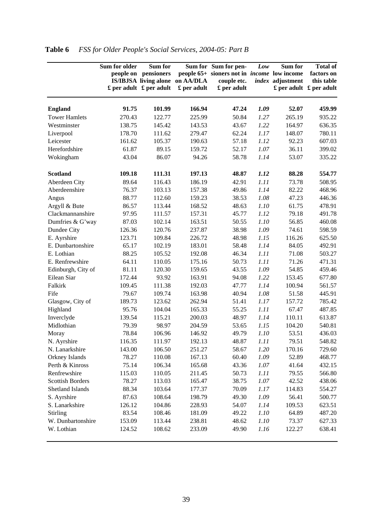|                         | Sum for older | Sum for<br>people on pensioners<br>$\pounds$ per adult $\pounds$ per adult | IS/IBJSA living alone on AA/DLA<br>£ per adult | Sum for Sum for pen-<br>people 65+ sioners not in <i>income</i> low income<br>couple etc.<br>£ per adult | Low  | Sum for<br>index adjustment | <b>Total of</b><br>factors on<br>this table<br>$\pounds$ per adult $\pounds$ per adult |
|-------------------------|---------------|----------------------------------------------------------------------------|------------------------------------------------|----------------------------------------------------------------------------------------------------------|------|-----------------------------|----------------------------------------------------------------------------------------|
| <b>England</b>          | 91.75         | 101.99                                                                     | 166.94                                         | 47.24                                                                                                    | 1.09 | 52.07                       | 459.99                                                                                 |
| <b>Tower Hamlets</b>    | 270.43        | 122.77                                                                     | 225.99                                         | 50.84                                                                                                    | 1.27 | 265.19                      | 935.22                                                                                 |
| Westminster             | 138.75        | 145.42                                                                     | 143.53                                         | 43.67                                                                                                    | 1.22 | 164.97                      | 636.35                                                                                 |
| Liverpool               | 178.70        | 111.62                                                                     | 279.47                                         | 62.24                                                                                                    | 1.17 | 148.07                      | 780.11                                                                                 |
| Leicester               | 161.62        | 105.37                                                                     | 190.63                                         | 57.18                                                                                                    | 1.12 | 92.23                       | 607.03                                                                                 |
| Herefordshire           | 61.87         | 89.15                                                                      | 159.72                                         | 52.17                                                                                                    | 1.07 | 36.11                       | 399.02                                                                                 |
| Wokingham               | 43.04         | 86.07                                                                      | 94.26                                          | 58.78                                                                                                    | 1.14 | 53.07                       | 335.22                                                                                 |
| <b>Scotland</b>         | 109.18        | 111.31                                                                     | 197.13                                         | 48.87                                                                                                    | 1.12 | 88.28                       | 554.77                                                                                 |
| Aberdeen City           | 89.64         | 116.43                                                                     | 186.19                                         | 42.91                                                                                                    | 1.11 | 73.78                       | 508.95                                                                                 |
| Aberdeenshire           | 76.37         | 103.13                                                                     | 157.38                                         | 49.86                                                                                                    | 1.14 | 82.22                       | 468.96                                                                                 |
| Angus                   | 88.77         | 112.60                                                                     | 159.23                                         | 38.53                                                                                                    | 1.08 | 47.23                       | 446.36                                                                                 |
| Argyll & Bute           | 86.57         | 113.44                                                                     | 168.52                                         | 48.63                                                                                                    | 1.10 | 61.75                       | 478.91                                                                                 |
| Clackmannanshire        | 97.95         | 111.57                                                                     | 157.31                                         | 45.77                                                                                                    | 1.12 | 79.18                       | 491.78                                                                                 |
| Dumfries & G'way        | 87.03         | 102.14                                                                     | 163.51                                         | 50.55                                                                                                    | 1.10 | 56.85                       | 460.08                                                                                 |
| Dundee City             | 126.36        | 120.76                                                                     | 237.87                                         | 38.98                                                                                                    | 1.09 | 74.61                       | 598.59                                                                                 |
| E. Ayrshire             | 123.71        | 109.84                                                                     | 226.72                                         | 48.98                                                                                                    | 1.15 | 116.26                      | 625.50                                                                                 |
| E. Dunbartonshire       | 65.17         | 102.19                                                                     | 183.01                                         | 58.48                                                                                                    | 1.14 | 84.05                       | 492.91                                                                                 |
| E. Lothian              | 88.25         | 105.52                                                                     | 192.08                                         | 46.34                                                                                                    | 1.11 | 71.08                       | 503.27                                                                                 |
| E. Renfrewshire         | 64.11         | 110.05                                                                     | 175.16                                         | 50.73                                                                                                    | 1.11 | 71.26                       | 471.31                                                                                 |
| Edinburgh, City of      | 81.11         | 120.30                                                                     | 159.65                                         | 43.55                                                                                                    | 1.09 | 54.85                       | 459.46                                                                                 |
| Eilean Siar             | 172.44        | 93.92                                                                      | 163.91                                         | 94.08                                                                                                    | 1.22 | 153.45                      | 677.80                                                                                 |
| Falkirk                 | 109.45        | 111.38                                                                     | 192.03                                         | 47.77                                                                                                    | 1.14 | 100.94                      | 561.57                                                                                 |
| Fife                    | 79.67         | 109.74                                                                     | 163.98                                         | 40.94                                                                                                    | 1.08 | 51.58                       | 445.91                                                                                 |
| Glasgow, City of        | 189.73        | 123.62                                                                     | 262.94                                         | 51.41                                                                                                    | 1.17 | 157.72                      | 785.42                                                                                 |
| Highland                | 95.76         | 104.04                                                                     | 165.33                                         | 55.25                                                                                                    | 1.11 | 67.47                       | 487.85                                                                                 |
| Inverclyde              | 139.54        | 115.21                                                                     | 200.03                                         | 48.97                                                                                                    | 1.14 | 110.11                      | 613.87                                                                                 |
| Midlothian              | 79.39         | 98.97                                                                      | 204.59                                         | 53.65                                                                                                    | 1.15 | 104.20                      | 540.81                                                                                 |
| Moray                   | 78.84         | 106.96                                                                     | 146.92                                         | 49.79                                                                                                    | 1.10 | 53.51                       | 436.03                                                                                 |
| N. Ayrshire             | 116.35        | 111.97                                                                     | 192.13                                         | 48.87                                                                                                    | 1.11 | 79.51                       | 548.82                                                                                 |
| N. Lanarkshire          | 143.00        | 106.50                                                                     | 251.27                                         | 58.67                                                                                                    | 1.20 | 170.16                      | 729.60                                                                                 |
| Orkney Islands          | 78.27         | 110.08                                                                     | 167.13                                         | 60.40                                                                                                    | 1.09 | 52.89                       | 468.77                                                                                 |
| Perth & Kinross         | 75.14         | 106.34                                                                     | 165.68                                         | 43.36                                                                                                    | 1.07 | 41.64                       | 432.15                                                                                 |
| Renfrewshire            | 115.03        | 110.05                                                                     | 211.45                                         | 50.73                                                                                                    | 1.11 | 79.55                       | 566.80                                                                                 |
| <b>Scottish Borders</b> | 78.27         | 113.03                                                                     | 165.47                                         | 38.75                                                                                                    | 1.07 | 42.52                       | 438.06                                                                                 |
| Shetland Islands        | 88.34         | 103.64                                                                     | 177.37                                         | 70.09                                                                                                    | 1.17 | 114.83                      | 554.27                                                                                 |
| S. Ayrshire             | 87.63         | 108.64                                                                     | 198.79                                         | 49.30                                                                                                    | 1.09 | 56.41                       | 500.77                                                                                 |
| S. Lanarkshire          | 126.12        | 104.86                                                                     | 228.93                                         | 54.07                                                                                                    | 1.14 | 109.53                      | 623.51                                                                                 |
| Stirling                | 83.54         | 108.46                                                                     | 181.09                                         | 49.22                                                                                                    | 1.10 | 64.89                       | 487.20                                                                                 |
| W. Dunbartonshire       | 153.09        | 113.44                                                                     | 238.81                                         | 48.62                                                                                                    | 1.10 | 73.37                       | 627.33                                                                                 |
| W. Lothian              | 124.52        | 108.62                                                                     | 233.09                                         | 49.90                                                                                                    | 1.16 | 122.27                      | 638.41                                                                                 |

# **Table 6** *FSS for Older People's Social Services, 2004-05: Part B*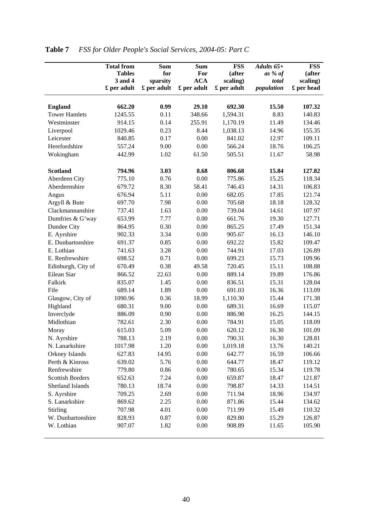|                         | <b>Total from</b> | <b>Sum</b>  | <b>Sum</b>  | <b>FSS</b>  | Adults $65+$ | <b>FSS</b> |
|-------------------------|-------------------|-------------|-------------|-------------|--------------|------------|
|                         | <b>Tables</b>     | for         | For         | (after      | as % of      | (after     |
|                         | 3 and 4           | sparsity    | <b>ACA</b>  | scaling)    | total        | scaling)   |
|                         | £ per adult       | £ per adult | £ per adult | £ per adult | population   | £ per head |
|                         |                   |             |             |             |              |            |
| <b>England</b>          | 662.20            | 0.99        | 29.10       | 692.30      | 15.50        | 107.32     |
| <b>Tower Hamlets</b>    | 1245.55           | 0.11        | 348.66      | 1,594.31    | 8.83         | 140.83     |
| Westminster             | 914.15            | 0.14        | 255.91      | 1,170.19    | 11.49        | 134.46     |
| Liverpool               | 1029.46           | 0.23        | 8.44        | 1,038.13    | 14.96        | 155.35     |
| Leicester               | 840.85            | 0.17        | 0.00        | 841.02      | 12.97        | 109.11     |
| Herefordshire           | 557.24            | 9.00        | 0.00        | 566.24      | 18.76        | 106.25     |
| Wokingham               | 442.99            | 1.02        | 61.50       | 505.51      | 11.67        | 58.98      |
| <b>Scotland</b>         | 794.96            | 3.03        | 8.68        | 806.68      | 15.84        | 127.82     |
| Aberdeen City           | 775.10            | 0.76        | 0.00        | 775.86      | 15.25        | 118.34     |
| Aberdeenshire           | 679.72            | 8.30        | 58.41       | 746.43      | 14.31        | 106.83     |
| Angus                   | 676.94            | 5.11        | 0.00        | 682.05      | 17.85        | 121.74     |
| Argyll & Bute           | 697.70            | 7.98        | 0.00        | 705.68      | 18.18        | 128.32     |
| Clackmannanshire        | 737.41            | 1.63        | 0.00        | 739.04      | 14.61        | 107.97     |
| Dumfries & G'way        | 653.99            | 7.77        | 0.00        | 661.76      | 19.30        | 127.71     |
| Dundee City             | 864.95            | 0.30        | 0.00        | 865.25      | 17.49        | 151.34     |
| E. Ayrshire             | 902.33            | 3.34        | 0.00        | 905.67      | 16.13        | 146.10     |
| E. Dunbartonshire       | 691.37            | 0.85        | 0.00        | 692.22      | 15.82        | 109.47     |
| E. Lothian              | 741.63            | 3.28        | 0.00        | 744.91      | 17.03        | 126.89     |
| E. Renfrewshire         | 698.52            | 0.71        | 0.00        | 699.23      | 15.73        | 109.96     |
| Edinburgh, City of      | 670.49            | 0.38        | 49.58       | 720.45      | 15.11        | 108.88     |
| Eilean Siar             | 866.52            | 22.63       | 0.00        | 889.14      | 19.89        | 176.86     |
| Falkirk                 | 835.07            | 1.45        | 0.00        | 836.51      | 15.31        | 128.04     |
| Fife                    | 689.14            | 1.89        | 0.00        | 691.03      | 16.36        | 113.09     |
| Glasgow, City of        | 1090.96           | 0.36        | 18.99       | 1,110.30    | 15.44        | 171.38     |
| Highland                | 680.31            | 9.00        | 0.00        | 689.31      | 16.69        | 115.07     |
| Inverclyde              | 886.09            | 0.90        | 0.00        | 886.98      | 16.25        | 144.15     |
| Midlothian              | 782.61            | 2.30        | 0.00        | 784.91      | 15.05        | 118.09     |
| Moray                   | 615.03            | 5.09        | 0.00        | 620.12      | 16.30        | 101.09     |
| N. Ayrshire             | 788.13            | 2.19        | 0.00        | 790.31      | 16.30        | 128.81     |
| N. Lanarkshire          | 1017.98           | 1.20        | 0.00        | 1,019.18    | 13.76        | 140.21     |
| Orkney Islands          | 627.83            | 14.95       | 0.00        | 642.77      | 16.59        | 106.66     |
| Perth & Kinross         | 639.02            | 5.76        | 0.00        | 644.77      | 18.47        | 119.12     |
| Renfrewshire            | 779.80            | 0.86        | 0.00        | 780.65      | 15.34        | 119.78     |
| <b>Scottish Borders</b> | 652.63            | 7.24        | 0.00        | 659.87      | 18.47        | 121.87     |
| Shetland Islands        | 780.13            | 18.74       | 0.00        | 798.87      | 14.33        | 114.51     |
| S. Ayrshire             | 709.25            | 2.69        | 0.00        | 711.94      | 18.96        | 134.97     |
| S. Lanarkshire          | 869.62            | 2.25        | 0.00        | 871.86      | 15.44        | 134.62     |
| Stirling                | 707.98            | 4.01        | 0.00        | 711.99      | 15.49        | 110.32     |
| W. Dunbartonshire       | 828.93            | 0.87        | 0.00        | 829.80      | 15.29        | 126.87     |
| W. Lothian              | 907.07            | 1.82        | 0.00        | 908.89      | 11.65        | 105.90     |
|                         |                   |             |             |             |              |            |

| Table 7 | <b>FSS for Older People's Social Services, 2004-05: Part C</b> |  |
|---------|----------------------------------------------------------------|--|
|         |                                                                |  |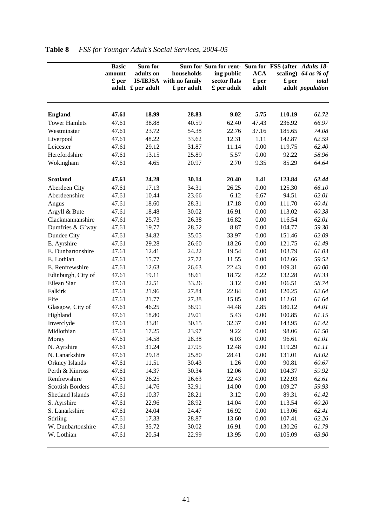|                         | <b>Basic</b><br>amount<br>£ per | Sum for<br>adults on | households<br>IS/IBJSA with no family | Sum for Sum for rent- Sum for FSS (after Adults 18-<br>ing public<br>sector flats | <b>ACA</b><br>£ per | £ per  | scaling) $64$ as % of<br>total |
|-------------------------|---------------------------------|----------------------|---------------------------------------|-----------------------------------------------------------------------------------|---------------------|--------|--------------------------------|
|                         |                                 | adult £ per adult    | £ per adult                           | £ per adult                                                                       | adult               |        | adult population               |
| <b>England</b>          | 47.61                           | 18.99                | 28.83                                 | 9.02                                                                              | 5.75                | 110.19 | 61.72                          |
| <b>Tower Hamlets</b>    | 47.61                           | 38.88                | 40.59                                 | 62.40                                                                             | 47.43               | 236.92 | 66.97                          |
| Westminster             | 47.61                           | 23.72                | 54.38                                 | 22.76                                                                             | 37.16               | 185.65 | 74.08                          |
| Liverpool               | 47.61                           | 48.22                | 33.62                                 | 12.31                                                                             | 1.11                | 142.87 | 62.59                          |
| Leicester               | 47.61                           | 29.12                | 31.87                                 | 11.14                                                                             | 0.00                | 119.75 | 62.40                          |
| Herefordshire           | 47.61                           | 13.15                | 25.89                                 | 5.57                                                                              | 0.00                | 92.22  | 58.96                          |
| Wokingham               | 47.61                           | 4.65                 | 20.97                                 | 2.70                                                                              | 9.35                | 85.29  | 64.64                          |
| <b>Scotland</b>         | 47.61                           | 24.28                | 30.14                                 | 20.40                                                                             | 1.41                | 123.84 | 62.44                          |
| Aberdeen City           | 47.61                           | 17.13                | 34.31                                 | 26.25                                                                             | 0.00                | 125.30 | 66.10                          |
| Aberdeenshire           | 47.61                           | 10.44                | 23.66                                 | 6.12                                                                              | 6.67                | 94.51  | 62.01                          |
| Angus                   | 47.61                           | 18.60                | 28.31                                 | 17.18                                                                             | 0.00                | 111.70 | 60.41                          |
| Argyll & Bute           | 47.61                           | 18.48                | 30.02                                 | 16.91                                                                             | 0.00                | 113.02 | 60.38                          |
| Clackmannanshire        | 47.61                           | 25.73                | 26.38                                 | 16.82                                                                             | 0.00                | 116.54 | 62.01                          |
| Dumfries & G'way        | 47.61                           | 19.77                | 28.52                                 | 8.87                                                                              | 0.00                | 104.77 | 59.30                          |
| Dundee City             | 47.61                           | 34.82                | 35.05                                 | 33.97                                                                             | 0.00                | 151.46 | 62.09                          |
| E. Ayrshire             | 47.61                           | 29.28                | 26.60                                 | 18.26                                                                             | 0.00                | 121.75 | 61.49                          |
| E. Dunbartonshire       | 47.61                           | 12.41                | 24.22                                 | 19.54                                                                             | 0.00                | 103.79 | 61.03                          |
| E. Lothian              | 47.61                           | 15.77                | 27.72                                 | 11.55                                                                             | 0.00                | 102.66 | 59.52                          |
| E. Renfrewshire         | 47.61                           | 12.63                | 26.63                                 | 22.43                                                                             | 0.00                | 109.31 | 60.00                          |
| Edinburgh, City of      | 47.61                           | 19.11                | 38.61                                 | 18.72                                                                             | 8.22                | 132.28 | 66.33                          |
| Eilean Siar             | 47.61                           | 22.51                | 33.26                                 | 3.12                                                                              | 0.00                | 106.51 | 58.74                          |
| Falkirk                 | 47.61                           | 21.96                | 27.84                                 | 22.84                                                                             | 0.00                | 120.25 | 62.64                          |
| Fife                    | 47.61                           | 21.77                | 27.38                                 | 15.85                                                                             | 0.00                | 112.61 | 61.64                          |
| Glasgow, City of        | 47.61                           | 46.25                | 38.91                                 | 44.48                                                                             | 2.85                | 180.12 | 64.01                          |
| Highland                | 47.61                           | 18.80                | 29.01                                 | 5.43                                                                              | 0.00                | 100.85 | 61.15                          |
| Inverclyde              | 47.61                           | 33.81                | 30.15                                 | 32.37                                                                             | 0.00                | 143.95 | 61.42                          |
| Midlothian              | 47.61                           | 17.25                | 23.97                                 | 9.22                                                                              | 0.00                | 98.06  | 61.50                          |
| Moray                   | 47.61                           | 14.58                | 28.38                                 | 6.03                                                                              | 0.00                | 96.61  | 61.01                          |
| N. Ayrshire             | 47.61                           | 31.24                | 27.95                                 | 12.48                                                                             | 0.00                | 119.29 | 61.11                          |
| N. Lanarkshire          | 47.61                           | 29.18                | 25.80                                 | 28.41                                                                             | $0.00\,$            | 131.01 | 63.02                          |
| Orkney Islands          | 47.61                           | 11.51                | 30.43                                 | 1.26                                                                              | 0.00                | 90.81  | 60.67                          |
| Perth & Kinross         | 47.61                           | 14.37                | 30.34                                 | 12.06                                                                             | 0.00                | 104.37 | 59.92                          |
| Renfrewshire            | 47.61                           | 26.25                | 26.63                                 | 22.43                                                                             | 0.00                | 122.93 | 62.61                          |
| <b>Scottish Borders</b> | 47.61                           | 14.76                | 32.91                                 | 14.00                                                                             | 0.00                | 109.27 | 59.93                          |
| Shetland Islands        | 47.61                           | 10.37                | 28.21                                 | 3.12                                                                              | 0.00                | 89.31  | 61.42                          |
| S. Ayrshire             | 47.61                           | 22.96                | 28.92                                 | 14.04                                                                             | 0.00                | 113.54 | 60.20                          |
| S. Lanarkshire          | 47.61                           | 24.04                | 24.47                                 | 16.92                                                                             | 0.00                | 113.06 | 62.41                          |
| Stirling                | 47.61                           | 17.33                | 28.87                                 | 13.60                                                                             | 0.00                | 107.41 | 62.26                          |
| W. Dunbartonshire       | 47.61                           | 35.72                | 30.02                                 | 16.91                                                                             | 0.00                | 130.26 | 61.79                          |
| W. Lothian              | 47.61                           | 20.54                | 22.99                                 | 13.95                                                                             | 0.00                | 105.09 | 63.90                          |

# **Table 8** *FSS for Younger Adult's Social Services, 2004-05*